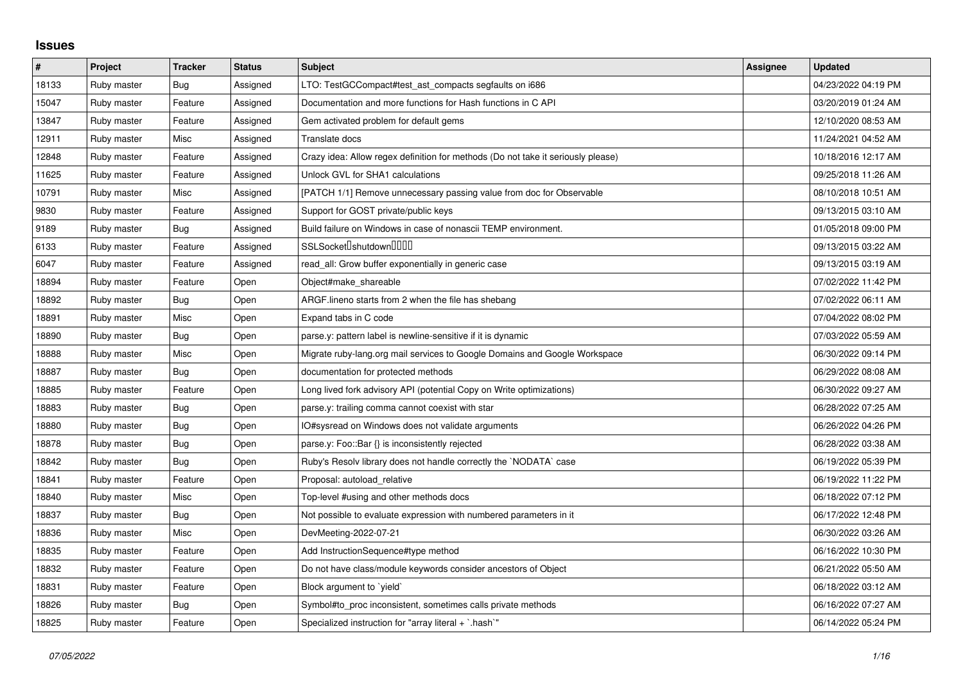## **Issues**

| $\pmb{\#}$ | Project     | <b>Tracker</b> | <b>Status</b> | <b>Subject</b>                                                                   | <b>Assignee</b> | <b>Updated</b>      |
|------------|-------------|----------------|---------------|----------------------------------------------------------------------------------|-----------------|---------------------|
| 18133      | Ruby master | Bug            | Assigned      | LTO: TestGCCompact#test_ast_compacts segfaults on i686                           |                 | 04/23/2022 04:19 PM |
| 15047      | Ruby master | Feature        | Assigned      | Documentation and more functions for Hash functions in C API                     |                 | 03/20/2019 01:24 AM |
| 13847      | Ruby master | Feature        | Assigned      | Gem activated problem for default gems                                           |                 | 12/10/2020 08:53 AM |
| 12911      | Ruby master | Misc           | Assigned      | Translate docs                                                                   |                 | 11/24/2021 04:52 AM |
| 12848      | Ruby master | Feature        | Assigned      | Crazy idea: Allow regex definition for methods (Do not take it seriously please) |                 | 10/18/2016 12:17 AM |
| 11625      | Ruby master | Feature        | Assigned      | Unlock GVL for SHA1 calculations                                                 |                 | 09/25/2018 11:26 AM |
| 10791      | Ruby master | Misc           | Assigned      | [PATCH 1/1] Remove unnecessary passing value from doc for Observable             |                 | 08/10/2018 10:51 AM |
| 9830       | Ruby master | Feature        | Assigned      | Support for GOST private/public keys                                             |                 | 09/13/2015 03:10 AM |
| 9189       | Ruby master | <b>Bug</b>     | Assigned      | Build failure on Windows in case of nonascii TEMP environment.                   |                 | 01/05/2018 09:00 PM |
| 6133       | Ruby master | Feature        | Assigned      | SSLSocket <sup>[]</sup> shutdown <sup>[11]</sup>                                 |                 | 09/13/2015 03:22 AM |
| 6047       | Ruby master | Feature        | Assigned      | read_all: Grow buffer exponentially in generic case                              |                 | 09/13/2015 03:19 AM |
| 18894      | Ruby master | Feature        | Open          | Object#make shareable                                                            |                 | 07/02/2022 11:42 PM |
| 18892      | Ruby master | <b>Bug</b>     | Open          | ARGF.lineno starts from 2 when the file has shebang                              |                 | 07/02/2022 06:11 AM |
| 18891      | Ruby master | Misc           | Open          | Expand tabs in C code                                                            |                 | 07/04/2022 08:02 PM |
| 18890      | Ruby master | <b>Bug</b>     | Open          | parse.y: pattern label is newline-sensitive if it is dynamic                     |                 | 07/03/2022 05:59 AM |
| 18888      | Ruby master | Misc           | Open          | Migrate ruby-lang.org mail services to Google Domains and Google Workspace       |                 | 06/30/2022 09:14 PM |
| 18887      | Ruby master | Bug            | Open          | documentation for protected methods                                              |                 | 06/29/2022 08:08 AM |
| 18885      | Ruby master | Feature        | Open          | Long lived fork advisory API (potential Copy on Write optimizations)             |                 | 06/30/2022 09:27 AM |
| 18883      | Ruby master | Bug            | Open          | parse.y: trailing comma cannot coexist with star                                 |                 | 06/28/2022 07:25 AM |
| 18880      | Ruby master | Bug            | Open          | IO#sysread on Windows does not validate arguments                                |                 | 06/26/2022 04:26 PM |
| 18878      | Ruby master | Bug            | Open          | parse.y: Foo::Bar {} is inconsistently rejected                                  |                 | 06/28/2022 03:38 AM |
| 18842      | Ruby master | <b>Bug</b>     | Open          | Ruby's Resolv library does not handle correctly the `NODATA` case                |                 | 06/19/2022 05:39 PM |
| 18841      | Ruby master | Feature        | Open          | Proposal: autoload relative                                                      |                 | 06/19/2022 11:22 PM |
| 18840      | Ruby master | Misc           | Open          | Top-level #using and other methods docs                                          |                 | 06/18/2022 07:12 PM |
| 18837      | Ruby master | Bug            | Open          | Not possible to evaluate expression with numbered parameters in it               |                 | 06/17/2022 12:48 PM |
| 18836      | Ruby master | Misc           | Open          | DevMeeting-2022-07-21                                                            |                 | 06/30/2022 03:26 AM |
| 18835      | Ruby master | Feature        | Open          | Add InstructionSequence#type method                                              |                 | 06/16/2022 10:30 PM |
| 18832      | Ruby master | Feature        | Open          | Do not have class/module keywords consider ancestors of Object                   |                 | 06/21/2022 05:50 AM |
| 18831      | Ruby master | Feature        | Open          | Block argument to `yield`                                                        |                 | 06/18/2022 03:12 AM |
| 18826      | Ruby master | Bug            | Open          | Symbol#to proc inconsistent, sometimes calls private methods                     |                 | 06/16/2022 07:27 AM |
| 18825      | Ruby master | Feature        | Open          | Specialized instruction for "array literal $+$ `.hash`"                          |                 | 06/14/2022 05:24 PM |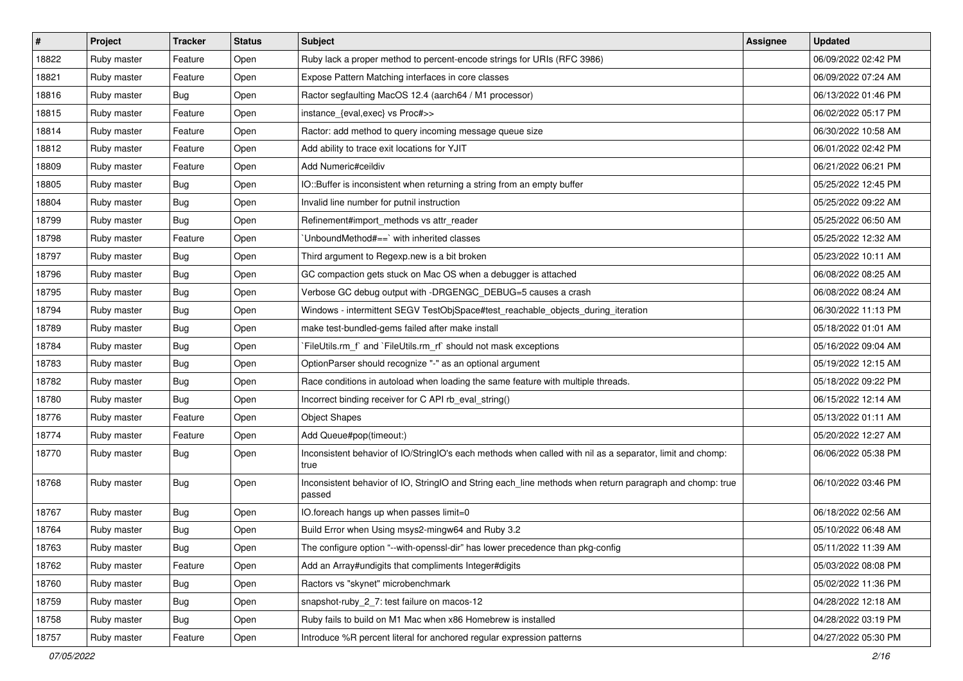| #     | Project     | <b>Tracker</b> | <b>Status</b> | Subject                                                                                                            | <b>Assignee</b> | <b>Updated</b>      |
|-------|-------------|----------------|---------------|--------------------------------------------------------------------------------------------------------------------|-----------------|---------------------|
| 18822 | Ruby master | Feature        | Open          | Ruby lack a proper method to percent-encode strings for URIs (RFC 3986)                                            |                 | 06/09/2022 02:42 PM |
| 18821 | Ruby master | Feature        | Open          | Expose Pattern Matching interfaces in core classes                                                                 |                 | 06/09/2022 07:24 AM |
| 18816 | Ruby master | Bug            | Open          | Ractor segfaulting MacOS 12.4 (aarch64 / M1 processor)                                                             |                 | 06/13/2022 01:46 PM |
| 18815 | Ruby master | Feature        | Open          | instance_{eval,exec} vs Proc#>>                                                                                    |                 | 06/02/2022 05:17 PM |
| 18814 | Ruby master | Feature        | Open          | Ractor: add method to query incoming message queue size                                                            |                 | 06/30/2022 10:58 AM |
| 18812 | Ruby master | Feature        | Open          | Add ability to trace exit locations for YJIT                                                                       |                 | 06/01/2022 02:42 PM |
| 18809 | Ruby master | Feature        | Open          | Add Numeric#ceildiv                                                                                                |                 | 06/21/2022 06:21 PM |
| 18805 | Ruby master | <b>Bug</b>     | Open          | IO::Buffer is inconsistent when returning a string from an empty buffer                                            |                 | 05/25/2022 12:45 PM |
| 18804 | Ruby master | <b>Bug</b>     | Open          | Invalid line number for putnil instruction                                                                         |                 | 05/25/2022 09:22 AM |
| 18799 | Ruby master | <b>Bug</b>     | Open          | Refinement#import_methods vs attr_reader                                                                           |                 | 05/25/2022 06:50 AM |
| 18798 | Ruby master | Feature        | Open          | 'UnboundMethod#==' with inherited classes                                                                          |                 | 05/25/2022 12:32 AM |
| 18797 | Ruby master | <b>Bug</b>     | Open          | Third argument to Regexp.new is a bit broken                                                                       |                 | 05/23/2022 10:11 AM |
| 18796 | Ruby master | <b>Bug</b>     | Open          | GC compaction gets stuck on Mac OS when a debugger is attached                                                     |                 | 06/08/2022 08:25 AM |
| 18795 | Ruby master | <b>Bug</b>     | Open          | Verbose GC debug output with -DRGENGC_DEBUG=5 causes a crash                                                       |                 | 06/08/2022 08:24 AM |
| 18794 | Ruby master | <b>Bug</b>     | Open          | Windows - intermittent SEGV TestObjSpace#test_reachable_objects_during_iteration                                   |                 | 06/30/2022 11:13 PM |
| 18789 | Ruby master | <b>Bug</b>     | Open          | make test-bundled-gems failed after make install                                                                   |                 | 05/18/2022 01:01 AM |
| 18784 | Ruby master | <b>Bug</b>     | Open          | FileUtils.rm_f` and `FileUtils.rm_rf` should not mask exceptions                                                   |                 | 05/16/2022 09:04 AM |
| 18783 | Ruby master | <b>Bug</b>     | Open          | OptionParser should recognize "-" as an optional argument                                                          |                 | 05/19/2022 12:15 AM |
| 18782 | Ruby master | <b>Bug</b>     | Open          | Race conditions in autoload when loading the same feature with multiple threads.                                   |                 | 05/18/2022 09:22 PM |
| 18780 | Ruby master | <b>Bug</b>     | Open          | Incorrect binding receiver for C API rb_eval_string()                                                              |                 | 06/15/2022 12:14 AM |
| 18776 | Ruby master | Feature        | Open          | <b>Object Shapes</b>                                                                                               |                 | 05/13/2022 01:11 AM |
| 18774 | Ruby master | Feature        | Open          | Add Queue#pop(timeout:)                                                                                            |                 | 05/20/2022 12:27 AM |
| 18770 | Ruby master | <b>Bug</b>     | Open          | Inconsistent behavior of IO/StringIO's each methods when called with nil as a separator, limit and chomp:<br>true  |                 | 06/06/2022 05:38 PM |
| 18768 | Ruby master | <b>Bug</b>     | Open          | Inconsistent behavior of IO, StringIO and String each_line methods when return paragraph and chomp: true<br>passed |                 | 06/10/2022 03:46 PM |
| 18767 | Ruby master | <b>Bug</b>     | Open          | IO.foreach hangs up when passes limit=0                                                                            |                 | 06/18/2022 02:56 AM |
| 18764 | Ruby master | <b>Bug</b>     | Open          | Build Error when Using msys2-mingw64 and Ruby 3.2                                                                  |                 | 05/10/2022 06:48 AM |
| 18763 | Ruby master | Bug            | Open          | The configure option "--with-openssl-dir" has lower precedence than pkg-config                                     |                 | 05/11/2022 11:39 AM |
| 18762 | Ruby master | Feature        | Open          | Add an Array#undigits that compliments Integer#digits                                                              |                 | 05/03/2022 08:08 PM |
| 18760 | Ruby master | Bug            | Open          | Ractors vs "skynet" microbenchmark                                                                                 |                 | 05/02/2022 11:36 PM |
| 18759 | Ruby master | <b>Bug</b>     | Open          | snapshot-ruby 2 7: test failure on macos-12                                                                        |                 | 04/28/2022 12:18 AM |
| 18758 | Ruby master | <b>Bug</b>     | Open          | Ruby fails to build on M1 Mac when x86 Homebrew is installed                                                       |                 | 04/28/2022 03:19 PM |
| 18757 | Ruby master | Feature        | Open          | Introduce %R percent literal for anchored regular expression patterns                                              |                 | 04/27/2022 05:30 PM |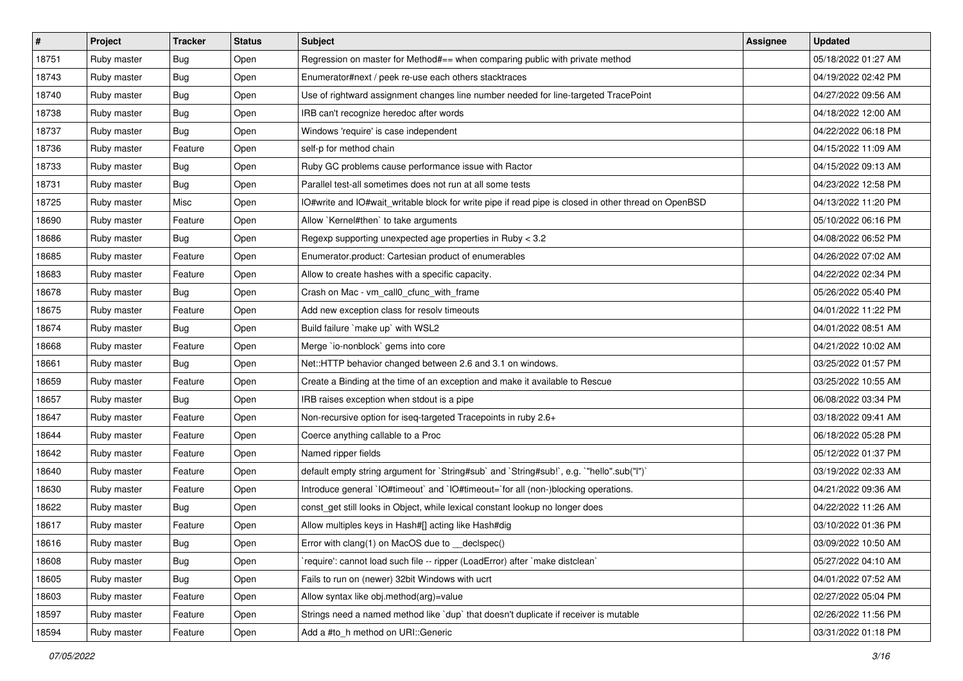| $\vert$ # | Project     | <b>Tracker</b> | <b>Status</b> | <b>Subject</b>                                                                                       | <b>Assignee</b> | <b>Updated</b>      |
|-----------|-------------|----------------|---------------|------------------------------------------------------------------------------------------------------|-----------------|---------------------|
| 18751     | Ruby master | <b>Bug</b>     | Open          | Regression on master for Method#== when comparing public with private method                         |                 | 05/18/2022 01:27 AM |
| 18743     | Ruby master | <b>Bug</b>     | Open          | Enumerator#next / peek re-use each others stacktraces                                                |                 | 04/19/2022 02:42 PM |
| 18740     | Ruby master | <b>Bug</b>     | Open          | Use of rightward assignment changes line number needed for line-targeted TracePoint                  |                 | 04/27/2022 09:56 AM |
| 18738     | Ruby master | <b>Bug</b>     | Open          | IRB can't recognize heredoc after words                                                              |                 | 04/18/2022 12:00 AM |
| 18737     | Ruby master | <b>Bug</b>     | Open          | Windows 'require' is case independent                                                                |                 | 04/22/2022 06:18 PM |
| 18736     | Ruby master | Feature        | Open          | self-p for method chain                                                                              |                 | 04/15/2022 11:09 AM |
| 18733     | Ruby master | <b>Bug</b>     | Open          | Ruby GC problems cause performance issue with Ractor                                                 |                 | 04/15/2022 09:13 AM |
| 18731     | Ruby master | <b>Bug</b>     | Open          | Parallel test-all sometimes does not run at all some tests                                           |                 | 04/23/2022 12:58 PM |
| 18725     | Ruby master | Misc           | Open          | IO#write and IO#wait_writable block for write pipe if read pipe is closed in other thread on OpenBSD |                 | 04/13/2022 11:20 PM |
| 18690     | Ruby master | Feature        | Open          | Allow `Kernel#then` to take arguments                                                                |                 | 05/10/2022 06:16 PM |
| 18686     | Ruby master | Bug            | Open          | Regexp supporting unexpected age properties in Ruby < 3.2                                            |                 | 04/08/2022 06:52 PM |
| 18685     | Ruby master | Feature        | Open          | Enumerator.product: Cartesian product of enumerables                                                 |                 | 04/26/2022 07:02 AM |
| 18683     | Ruby master | Feature        | Open          | Allow to create hashes with a specific capacity.                                                     |                 | 04/22/2022 02:34 PM |
| 18678     | Ruby master | <b>Bug</b>     | Open          | Crash on Mac - vm_call0_cfunc_with_frame                                                             |                 | 05/26/2022 05:40 PM |
| 18675     | Ruby master | Feature        | Open          | Add new exception class for resolv timeouts                                                          |                 | 04/01/2022 11:22 PM |
| 18674     | Ruby master | <b>Bug</b>     | Open          | Build failure `make up` with WSL2                                                                    |                 | 04/01/2022 08:51 AM |
| 18668     | Ruby master | Feature        | Open          | Merge `io-nonblock` gems into core                                                                   |                 | 04/21/2022 10:02 AM |
| 18661     | Ruby master | <b>Bug</b>     | Open          | Net::HTTP behavior changed between 2.6 and 3.1 on windows.                                           |                 | 03/25/2022 01:57 PM |
| 18659     | Ruby master | Feature        | Open          | Create a Binding at the time of an exception and make it available to Rescue                         |                 | 03/25/2022 10:55 AM |
| 18657     | Ruby master | <b>Bug</b>     | Open          | IRB raises exception when stdout is a pipe                                                           |                 | 06/08/2022 03:34 PM |
| 18647     | Ruby master | Feature        | Open          | Non-recursive option for iseq-targeted Tracepoints in ruby 2.6+                                      |                 | 03/18/2022 09:41 AM |
| 18644     | Ruby master | Feature        | Open          | Coerce anything callable to a Proc                                                                   |                 | 06/18/2022 05:28 PM |
| 18642     | Ruby master | Feature        | Open          | Named ripper fields                                                                                  |                 | 05/12/2022 01:37 PM |
| 18640     | Ruby master | Feature        | Open          | default empty string argument for `String#sub` and `String#sub!`, e.g. `"hello".sub("I")`            |                 | 03/19/2022 02:33 AM |
| 18630     | Ruby master | Feature        | Open          | Introduce general `IO#timeout` and `IO#timeout=`for all (non-)blocking operations.                   |                 | 04/21/2022 09:36 AM |
| 18622     | Ruby master | <b>Bug</b>     | Open          | const_get still looks in Object, while lexical constant lookup no longer does                        |                 | 04/22/2022 11:26 AM |
| 18617     | Ruby master | Feature        | Open          | Allow multiples keys in Hash#[] acting like Hash#dig                                                 |                 | 03/10/2022 01:36 PM |
| 18616     | Ruby master | Bug            | Open          | Error with clang(1) on MacOS due to _declspec()                                                      |                 | 03/09/2022 10:50 AM |
| 18608     | Ruby master | Bug            | Open          | require': cannot load such file -- ripper (LoadError) after `make distclean`                         |                 | 05/27/2022 04:10 AM |
| 18605     | Ruby master | <b>Bug</b>     | Open          | Fails to run on (newer) 32bit Windows with ucrt                                                      |                 | 04/01/2022 07:52 AM |
| 18603     | Ruby master | Feature        | Open          | Allow syntax like obj.method(arg)=value                                                              |                 | 02/27/2022 05:04 PM |
| 18597     | Ruby master | Feature        | Open          | Strings need a named method like `dup` that doesn't duplicate if receiver is mutable                 |                 | 02/26/2022 11:56 PM |
| 18594     | Ruby master | Feature        | Open          | Add a #to_h method on URI::Generic                                                                   |                 | 03/31/2022 01:18 PM |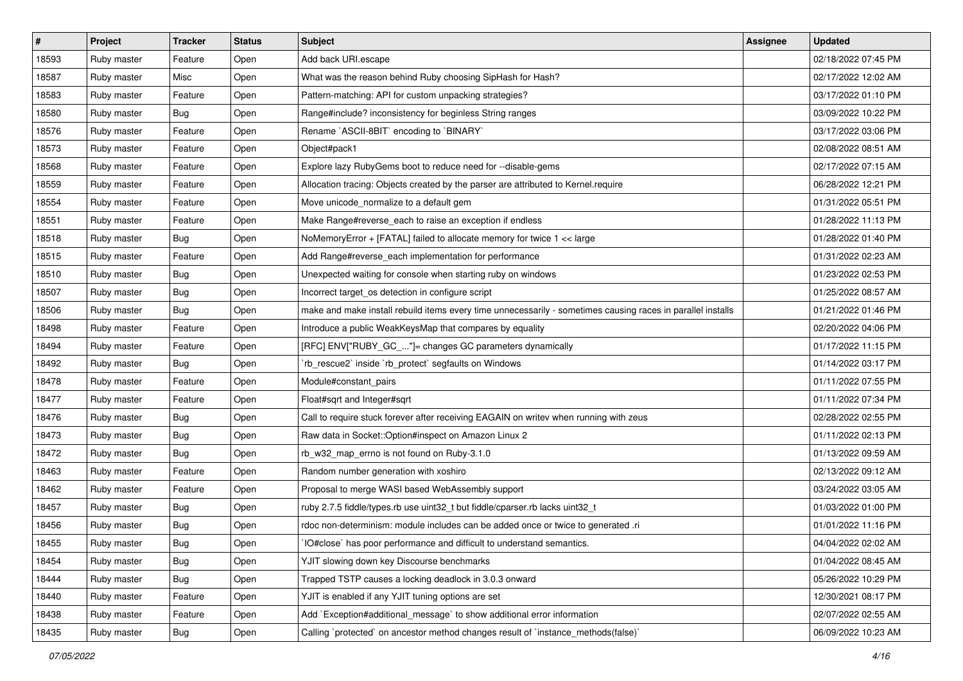| #     | Project     | <b>Tracker</b> | <b>Status</b> | <b>Subject</b>                                                                                              | <b>Assignee</b> | <b>Updated</b>      |
|-------|-------------|----------------|---------------|-------------------------------------------------------------------------------------------------------------|-----------------|---------------------|
| 18593 | Ruby master | Feature        | Open          | Add back URI.escape                                                                                         |                 | 02/18/2022 07:45 PM |
| 18587 | Ruby master | Misc           | Open          | What was the reason behind Ruby choosing SipHash for Hash?                                                  |                 | 02/17/2022 12:02 AM |
| 18583 | Ruby master | Feature        | Open          | Pattern-matching: API for custom unpacking strategies?                                                      |                 | 03/17/2022 01:10 PM |
| 18580 | Ruby master | <b>Bug</b>     | Open          | Range#include? inconsistency for beginless String ranges                                                    |                 | 03/09/2022 10:22 PM |
| 18576 | Ruby master | Feature        | Open          | Rename `ASCII-8BIT` encoding to `BINARY`                                                                    |                 | 03/17/2022 03:06 PM |
| 18573 | Ruby master | Feature        | Open          | Object#pack1                                                                                                |                 | 02/08/2022 08:51 AM |
| 18568 | Ruby master | Feature        | Open          | Explore lazy RubyGems boot to reduce need for --disable-gems                                                |                 | 02/17/2022 07:15 AM |
| 18559 | Ruby master | Feature        | Open          | Allocation tracing: Objects created by the parser are attributed to Kernel.require                          |                 | 06/28/2022 12:21 PM |
| 18554 | Ruby master | Feature        | Open          | Move unicode_normalize to a default gem                                                                     |                 | 01/31/2022 05:51 PM |
| 18551 | Ruby master | Feature        | Open          | Make Range#reverse_each to raise an exception if endless                                                    |                 | 01/28/2022 11:13 PM |
| 18518 | Ruby master | Bug            | Open          | NoMemoryError + [FATAL] failed to allocate memory for twice 1 << large                                      |                 | 01/28/2022 01:40 PM |
| 18515 | Ruby master | Feature        | Open          | Add Range#reverse_each implementation for performance                                                       |                 | 01/31/2022 02:23 AM |
| 18510 | Ruby master | <b>Bug</b>     | Open          | Unexpected waiting for console when starting ruby on windows                                                |                 | 01/23/2022 02:53 PM |
| 18507 | Ruby master | <b>Bug</b>     | Open          | Incorrect target_os detection in configure script                                                           |                 | 01/25/2022 08:57 AM |
| 18506 | Ruby master | <b>Bug</b>     | Open          | make and make install rebuild items every time unnecessarily - sometimes causing races in parallel installs |                 | 01/21/2022 01:46 PM |
| 18498 | Ruby master | Feature        | Open          | Introduce a public WeakKeysMap that compares by equality                                                    |                 | 02/20/2022 04:06 PM |
| 18494 | Ruby master | Feature        | Open          | [RFC] ENV["RUBY_GC_"]= changes GC parameters dynamically                                                    |                 | 01/17/2022 11:15 PM |
| 18492 | Ruby master | <b>Bug</b>     | Open          | rb_rescue2`inside `rb_protect` segfaults on Windows                                                         |                 | 01/14/2022 03:17 PM |
| 18478 | Ruby master | Feature        | Open          | Module#constant_pairs                                                                                       |                 | 01/11/2022 07:55 PM |
| 18477 | Ruby master | Feature        | Open          | Float#sqrt and Integer#sqrt                                                                                 |                 | 01/11/2022 07:34 PM |
| 18476 | Ruby master | <b>Bug</b>     | Open          | Call to require stuck forever after receiving EAGAIN on writev when running with zeus                       |                 | 02/28/2022 02:55 PM |
| 18473 | Ruby master | <b>Bug</b>     | Open          | Raw data in Socket:: Option#inspect on Amazon Linux 2                                                       |                 | 01/11/2022 02:13 PM |
| 18472 | Ruby master | <b>Bug</b>     | Open          | rb_w32_map_errno is not found on Ruby-3.1.0                                                                 |                 | 01/13/2022 09:59 AM |
| 18463 | Ruby master | Feature        | Open          | Random number generation with xoshiro                                                                       |                 | 02/13/2022 09:12 AM |
| 18462 | Ruby master | Feature        | Open          | Proposal to merge WASI based WebAssembly support                                                            |                 | 03/24/2022 03:05 AM |
| 18457 | Ruby master | Bug            | Open          | ruby 2.7.5 fiddle/types.rb use uint32_t but fiddle/cparser.rb lacks uint32_t                                |                 | 01/03/2022 01:00 PM |
| 18456 | Ruby master | <b>Bug</b>     | Open          | rdoc non-determinism: module includes can be added once or twice to generated .ri                           |                 | 01/01/2022 11:16 PM |
| 18455 | Ruby master | <b>Bug</b>     | Open          | IO#close` has poor performance and difficult to understand semantics.                                       |                 | 04/04/2022 02:02 AM |
| 18454 | Ruby master | <b>Bug</b>     | Open          | YJIT slowing down key Discourse benchmarks                                                                  |                 | 01/04/2022 08:45 AM |
| 18444 | Ruby master | Bug            | Open          | Trapped TSTP causes a locking deadlock in 3.0.3 onward                                                      |                 | 05/26/2022 10:29 PM |
| 18440 | Ruby master | Feature        | Open          | YJIT is enabled if any YJIT tuning options are set                                                          |                 | 12/30/2021 08:17 PM |
| 18438 | Ruby master | Feature        | Open          | Add `Exception#additional_message` to show additional error information                                     |                 | 02/07/2022 02:55 AM |
| 18435 | Ruby master | Bug            | Open          | Calling `protected` on ancestor method changes result of `instance_methods(false)`                          |                 | 06/09/2022 10:23 AM |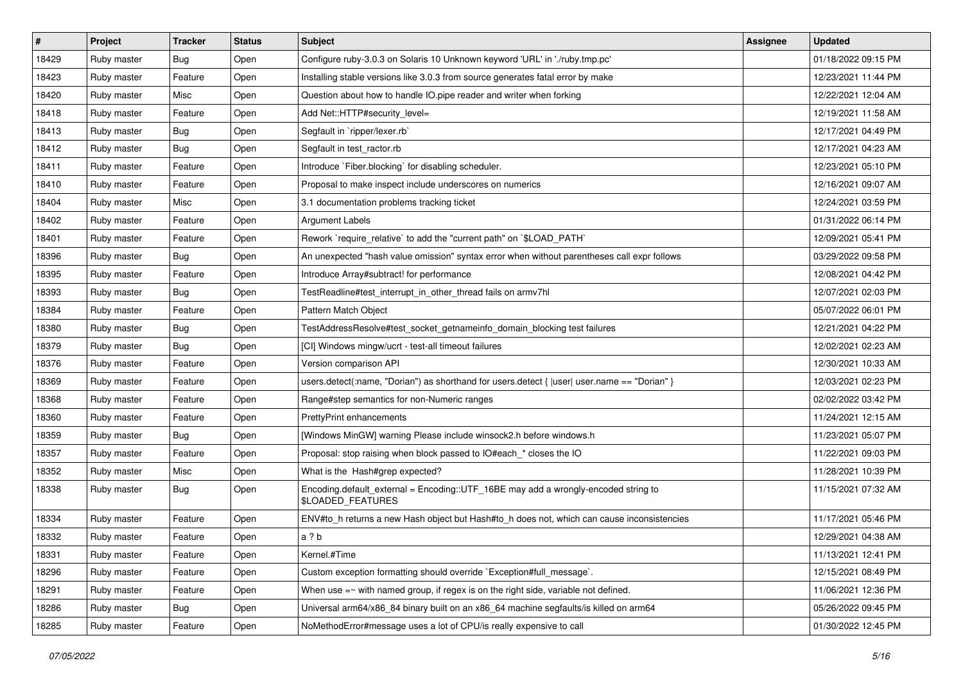| $\vert$ # | Project     | <b>Tracker</b> | <b>Status</b> | <b>Subject</b>                                                                                          | <b>Assignee</b> | <b>Updated</b>      |
|-----------|-------------|----------------|---------------|---------------------------------------------------------------------------------------------------------|-----------------|---------------------|
| 18429     | Ruby master | <b>Bug</b>     | Open          | Configure ruby-3.0.3 on Solaris 10 Unknown keyword 'URL' in './ruby.tmp.pc'                             |                 | 01/18/2022 09:15 PM |
| 18423     | Ruby master | Feature        | Open          | Installing stable versions like 3.0.3 from source generates fatal error by make                         |                 | 12/23/2021 11:44 PM |
| 18420     | Ruby master | Misc           | Open          | Question about how to handle IO.pipe reader and writer when forking                                     |                 | 12/22/2021 12:04 AM |
| 18418     | Ruby master | Feature        | Open          | Add Net::HTTP#security_level=                                                                           |                 | 12/19/2021 11:58 AM |
| 18413     | Ruby master | <b>Bug</b>     | Open          | Segfault in `ripper/lexer.rb`                                                                           |                 | 12/17/2021 04:49 PM |
| 18412     | Ruby master | <b>Bug</b>     | Open          | Segfault in test ractor.rb                                                                              |                 | 12/17/2021 04:23 AM |
| 18411     | Ruby master | Feature        | Open          | Introduce `Fiber.blocking` for disabling scheduler.                                                     |                 | 12/23/2021 05:10 PM |
| 18410     | Ruby master | Feature        | Open          | Proposal to make inspect include underscores on numerics                                                |                 | 12/16/2021 09:07 AM |
| 18404     | Ruby master | Misc           | Open          | 3.1 documentation problems tracking ticket                                                              |                 | 12/24/2021 03:59 PM |
| 18402     | Ruby master | Feature        | Open          | <b>Argument Labels</b>                                                                                  |                 | 01/31/2022 06:14 PM |
| 18401     | Ruby master | Feature        | Open          | Rework `require_relative` to add the "current path" on `\$LOAD_PATH`                                    |                 | 12/09/2021 05:41 PM |
| 18396     | Ruby master | <b>Bug</b>     | Open          | An unexpected "hash value omission" syntax error when without parentheses call expr follows             |                 | 03/29/2022 09:58 PM |
| 18395     | Ruby master | Feature        | Open          | Introduce Array#subtract! for performance                                                               |                 | 12/08/2021 04:42 PM |
| 18393     | Ruby master | Bug            | Open          | TestReadline#test interrupt in other thread fails on armv7hl                                            |                 | 12/07/2021 02:03 PM |
| 18384     | Ruby master | Feature        | Open          | Pattern Match Object                                                                                    |                 | 05/07/2022 06:01 PM |
| 18380     | Ruby master | <b>Bug</b>     | Open          | TestAddressResolve#test_socket_getnameinfo_domain_blocking test failures                                |                 | 12/21/2021 04:22 PM |
| 18379     | Ruby master | <b>Bug</b>     | Open          | [CI] Windows mingw/ucrt - test-all timeout failures                                                     |                 | 12/02/2021 02:23 AM |
| 18376     | Ruby master | Feature        | Open          | Version comparison API                                                                                  |                 | 12/30/2021 10:33 AM |
| 18369     | Ruby master | Feature        | Open          | users.detect(:name, "Dorian") as shorthand for users.detect { $ user $ user.name == "Dorian" }          |                 | 12/03/2021 02:23 PM |
| 18368     | Ruby master | Feature        | Open          | Range#step semantics for non-Numeric ranges                                                             |                 | 02/02/2022 03:42 PM |
| 18360     | Ruby master | Feature        | Open          | <b>PrettyPrint enhancements</b>                                                                         |                 | 11/24/2021 12:15 AM |
| 18359     | Ruby master | Bug            | Open          | [Windows MinGW] warning Please include winsock2.h before windows.h                                      |                 | 11/23/2021 05:07 PM |
| 18357     | Ruby master | Feature        | Open          | Proposal: stop raising when block passed to IO#each_* closes the IO                                     |                 | 11/22/2021 09:03 PM |
| 18352     | Ruby master | Misc           | Open          | What is the Hash#grep expected?                                                                         |                 | 11/28/2021 10:39 PM |
| 18338     | Ruby master | Bug            | Open          | Encoding.default_external = Encoding::UTF_16BE may add a wrongly-encoded string to<br>\$LOADED_FEATURES |                 | 11/15/2021 07:32 AM |
| 18334     | Ruby master | Feature        | Open          | ENV#to_h returns a new Hash object but Hash#to_h does not, which can cause inconsistencies              |                 | 11/17/2021 05:46 PM |
| 18332     | Ruby master | Feature        | Open          | a?b                                                                                                     |                 | 12/29/2021 04:38 AM |
| 18331     | Ruby master | Feature        | Open          | Kernel.#Time                                                                                            |                 | 11/13/2021 12:41 PM |
| 18296     | Ruby master | Feature        | Open          | Custom exception formatting should override `Exception#full_message`.                                   |                 | 12/15/2021 08:49 PM |
| 18291     | Ruby master | Feature        | Open          | When use $=\sim$ with named group, if regex is on the right side, variable not defined.                 |                 | 11/06/2021 12:36 PM |
| 18286     | Ruby master | <b>Bug</b>     | Open          | Universal arm64/x86_84 binary built on an x86_64 machine segfaults/is killed on arm64                   |                 | 05/26/2022 09:45 PM |
| 18285     | Ruby master | Feature        | Open          | NoMethodError#message uses a lot of CPU/is really expensive to call                                     |                 | 01/30/2022 12:45 PM |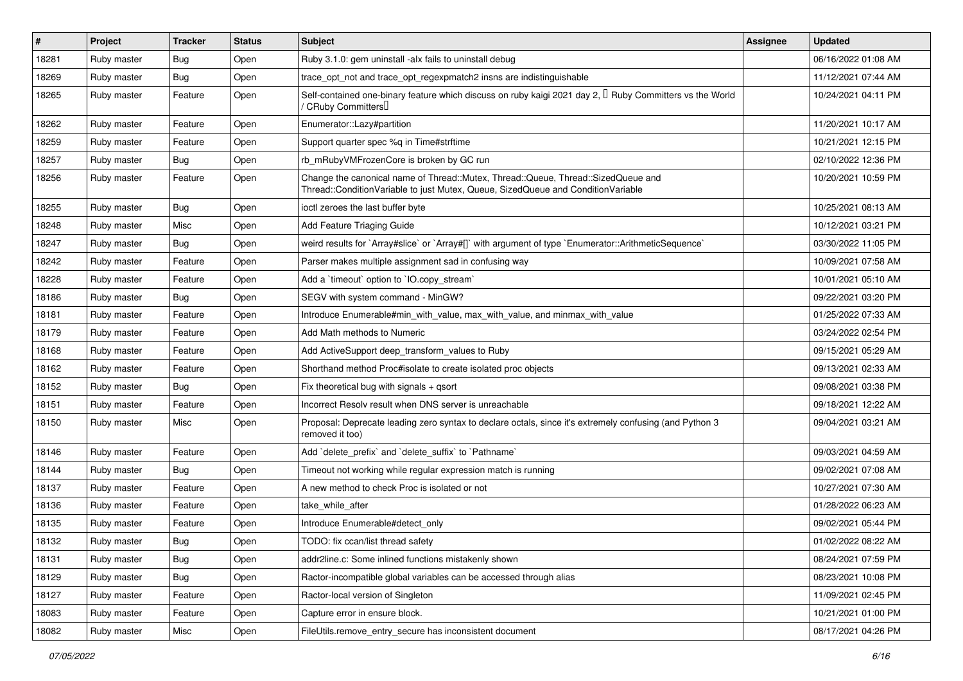| #     | <b>Project</b> | <b>Tracker</b> | <b>Status</b> | <b>Subject</b>                                                                                                                                                        | <b>Assignee</b> | <b>Updated</b>      |
|-------|----------------|----------------|---------------|-----------------------------------------------------------------------------------------------------------------------------------------------------------------------|-----------------|---------------------|
| 18281 | Ruby master    | <b>Bug</b>     | Open          | Ruby 3.1.0: gem uninstall -alx fails to uninstall debug                                                                                                               |                 | 06/16/2022 01:08 AM |
| 18269 | Ruby master    | <b>Bug</b>     | Open          | trace_opt_not and trace_opt_regexpmatch2 insns are indistinguishable                                                                                                  |                 | 11/12/2021 07:44 AM |
| 18265 | Ruby master    | Feature        | Open          | Self-contained one-binary feature which discuss on ruby kaigi 2021 day 2, $\Box$ Ruby Committers vs the World<br>/ CRuby Committers∐                                  |                 | 10/24/2021 04:11 PM |
| 18262 | Ruby master    | Feature        | Open          | Enumerator::Lazy#partition                                                                                                                                            |                 | 11/20/2021 10:17 AM |
| 18259 | Ruby master    | Feature        | Open          | Support quarter spec %q in Time#strftime                                                                                                                              |                 | 10/21/2021 12:15 PM |
| 18257 | Ruby master    | <b>Bug</b>     | Open          | rb mRubyVMFrozenCore is broken by GC run                                                                                                                              |                 | 02/10/2022 12:36 PM |
| 18256 | Ruby master    | Feature        | Open          | Change the canonical name of Thread::Mutex, Thread::Queue, Thread::SizedQueue and<br>Thread::ConditionVariable to just Mutex, Queue, SizedQueue and ConditionVariable |                 | 10/20/2021 10:59 PM |
| 18255 | Ruby master    | <b>Bug</b>     | Open          | ioctl zeroes the last buffer byte                                                                                                                                     |                 | 10/25/2021 08:13 AM |
| 18248 | Ruby master    | Misc           | Open          | Add Feature Triaging Guide                                                                                                                                            |                 | 10/12/2021 03:21 PM |
| 18247 | Ruby master    | <b>Bug</b>     | Open          | weird results for `Array#slice` or `Array#[]` with argument of type `Enumerator::ArithmeticSequence`                                                                  |                 | 03/30/2022 11:05 PM |
| 18242 | Ruby master    | Feature        | Open          | Parser makes multiple assignment sad in confusing way                                                                                                                 |                 | 10/09/2021 07:58 AM |
| 18228 | Ruby master    | Feature        | Open          | Add a 'timeout' option to 'IO.copy stream'                                                                                                                            |                 | 10/01/2021 05:10 AM |
| 18186 | Ruby master    | <b>Bug</b>     | Open          | SEGV with system command - MinGW?                                                                                                                                     |                 | 09/22/2021 03:20 PM |
| 18181 | Ruby master    | Feature        | Open          | Introduce Enumerable#min with value, max with value, and minmax with value                                                                                            |                 | 01/25/2022 07:33 AM |
| 18179 | Ruby master    | Feature        | Open          | Add Math methods to Numeric                                                                                                                                           |                 | 03/24/2022 02:54 PM |
| 18168 | Ruby master    | Feature        | Open          | Add ActiveSupport deep_transform_values to Ruby                                                                                                                       |                 | 09/15/2021 05:29 AM |
| 18162 | Ruby master    | Feature        | Open          | Shorthand method Proc#isolate to create isolated proc objects                                                                                                         |                 | 09/13/2021 02:33 AM |
| 18152 | Ruby master    | <b>Bug</b>     | Open          | Fix theoretical bug with signals $+$ qsort                                                                                                                            |                 | 09/08/2021 03:38 PM |
| 18151 | Ruby master    | Feature        | Open          | Incorrect Resolv result when DNS server is unreachable                                                                                                                |                 | 09/18/2021 12:22 AM |
| 18150 | Ruby master    | Misc           | Open          | Proposal: Deprecate leading zero syntax to declare octals, since it's extremely confusing (and Python 3<br>removed it too)                                            |                 | 09/04/2021 03:21 AM |
| 18146 | Ruby master    | Feature        | Open          | Add 'delete_prefix' and 'delete_suffix' to 'Pathname'                                                                                                                 |                 | 09/03/2021 04:59 AM |
| 18144 | Ruby master    | <b>Bug</b>     | Open          | Timeout not working while regular expression match is running                                                                                                         |                 | 09/02/2021 07:08 AM |
| 18137 | Ruby master    | Feature        | Open          | A new method to check Proc is isolated or not                                                                                                                         |                 | 10/27/2021 07:30 AM |
| 18136 | Ruby master    | Feature        | Open          | take_while_after                                                                                                                                                      |                 | 01/28/2022 06:23 AM |
| 18135 | Ruby master    | Feature        | Open          | Introduce Enumerable#detect only                                                                                                                                      |                 | 09/02/2021 05:44 PM |
| 18132 | Ruby master    | Bug            | Open          | TODO: fix ccan/list thread safety                                                                                                                                     |                 | 01/02/2022 08:22 AM |
| 18131 | Ruby master    | Bug            | Open          | addr2line.c: Some inlined functions mistakenly shown                                                                                                                  |                 | 08/24/2021 07:59 PM |
| 18129 | Ruby master    | i Bug          | Open          | Ractor-incompatible global variables can be accessed through alias                                                                                                    |                 | 08/23/2021 10:08 PM |
| 18127 | Ruby master    | Feature        | Open          | Ractor-local version of Singleton                                                                                                                                     |                 | 11/09/2021 02:45 PM |
| 18083 | Ruby master    | Feature        | Open          | Capture error in ensure block.                                                                                                                                        |                 | 10/21/2021 01:00 PM |
| 18082 | Ruby master    | Misc           | Open          | FileUtils.remove_entry_secure has inconsistent document                                                                                                               |                 | 08/17/2021 04:26 PM |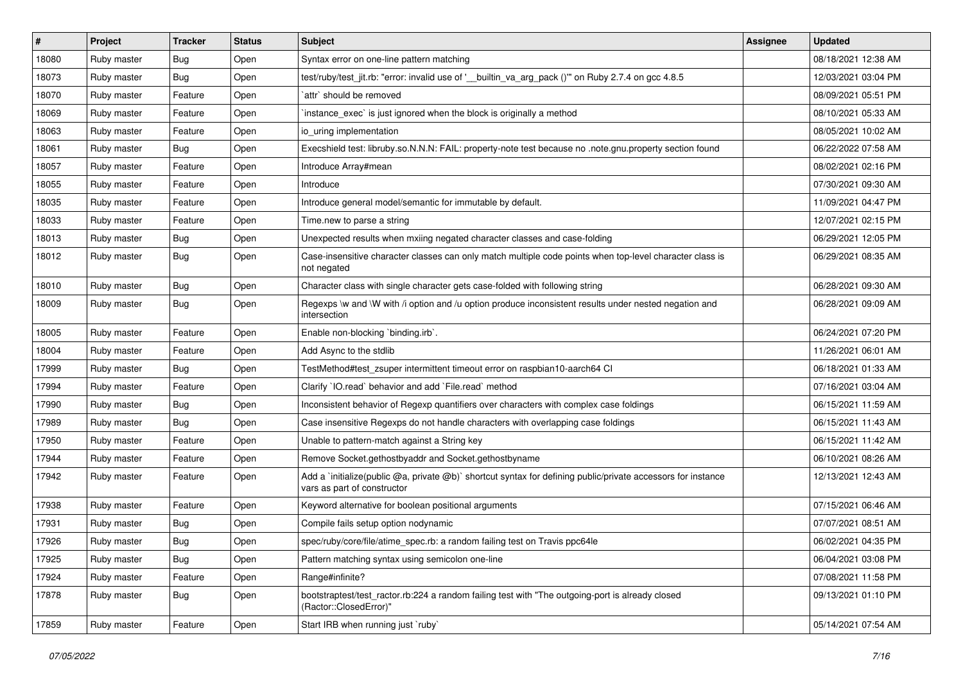| #     | <b>Project</b> | <b>Tracker</b> | <b>Status</b> | Subject                                                                                                                                     | <b>Assignee</b> | <b>Updated</b>      |
|-------|----------------|----------------|---------------|---------------------------------------------------------------------------------------------------------------------------------------------|-----------------|---------------------|
| 18080 | Ruby master    | Bug            | Open          | Syntax error on one-line pattern matching                                                                                                   |                 | 08/18/2021 12:38 AM |
| 18073 | Ruby master    | Bug            | Open          | test/ruby/test_jit.rb: "error: invalid use of '__builtin_va_arg_pack ()" on Ruby 2.7.4 on gcc 4.8.5                                         |                 | 12/03/2021 03:04 PM |
| 18070 | Ruby master    | Feature        | Open          | `attr` should be removed                                                                                                                    |                 | 08/09/2021 05:51 PM |
| 18069 | Ruby master    | Feature        | Open          | instance_exec` is just ignored when the block is originally a method                                                                        |                 | 08/10/2021 05:33 AM |
| 18063 | Ruby master    | Feature        | Open          | io uring implementation                                                                                                                     |                 | 08/05/2021 10:02 AM |
| 18061 | Ruby master    | <b>Bug</b>     | Open          | Execshield test: libruby.so.N.N.N: FAIL: property-note test because no .note.gnu.property section found                                     |                 | 06/22/2022 07:58 AM |
| 18057 | Ruby master    | Feature        | Open          | Introduce Array#mean                                                                                                                        |                 | 08/02/2021 02:16 PM |
| 18055 | Ruby master    | Feature        | Open          | Introduce                                                                                                                                   |                 | 07/30/2021 09:30 AM |
| 18035 | Ruby master    | Feature        | Open          | Introduce general model/semantic for immutable by default.                                                                                  |                 | 11/09/2021 04:47 PM |
| 18033 | Ruby master    | Feature        | Open          | Time.new to parse a string                                                                                                                  |                 | 12/07/2021 02:15 PM |
| 18013 | Ruby master    | <b>Bug</b>     | Open          | Unexpected results when mxiing negated character classes and case-folding                                                                   |                 | 06/29/2021 12:05 PM |
| 18012 | Ruby master    | Bug            | Open          | Case-insensitive character classes can only match multiple code points when top-level character class is<br>not negated                     |                 | 06/29/2021 08:35 AM |
| 18010 | Ruby master    | <b>Bug</b>     | Open          | Character class with single character gets case-folded with following string                                                                |                 | 06/28/2021 09:30 AM |
| 18009 | Ruby master    | <b>Bug</b>     | Open          | Regexps \w and \W with /i option and /u option produce inconsistent results under nested negation and<br>intersection                       |                 | 06/28/2021 09:09 AM |
| 18005 | Ruby master    | Feature        | Open          | Enable non-blocking `binding.irb`.                                                                                                          |                 | 06/24/2021 07:20 PM |
| 18004 | Ruby master    | Feature        | Open          | Add Async to the stdlib                                                                                                                     |                 | 11/26/2021 06:01 AM |
| 17999 | Ruby master    | <b>Bug</b>     | Open          | TestMethod#test zsuper intermittent timeout error on raspbian10-aarch64 CI                                                                  |                 | 06/18/2021 01:33 AM |
| 17994 | Ruby master    | Feature        | Open          | Clarify 'IO.read' behavior and add 'File.read' method                                                                                       |                 | 07/16/2021 03:04 AM |
| 17990 | Ruby master    | <b>Bug</b>     | Open          | Inconsistent behavior of Regexp quantifiers over characters with complex case foldings                                                      |                 | 06/15/2021 11:59 AM |
| 17989 | Ruby master    | <b>Bug</b>     | Open          | Case insensitive Regexps do not handle characters with overlapping case foldings                                                            |                 | 06/15/2021 11:43 AM |
| 17950 | Ruby master    | Feature        | Open          | Unable to pattern-match against a String key                                                                                                |                 | 06/15/2021 11:42 AM |
| 17944 | Ruby master    | Feature        | Open          | Remove Socket.gethostbyaddr and Socket.gethostbyname                                                                                        |                 | 06/10/2021 08:26 AM |
| 17942 | Ruby master    | Feature        | Open          | Add a `initialize(public @a, private @b)` shortcut syntax for defining public/private accessors for instance<br>vars as part of constructor |                 | 12/13/2021 12:43 AM |
| 17938 | Ruby master    | Feature        | Open          | Keyword alternative for boolean positional arguments                                                                                        |                 | 07/15/2021 06:46 AM |
| 17931 | Ruby master    | <b>Bug</b>     | Open          | Compile fails setup option nodynamic                                                                                                        |                 | 07/07/2021 08:51 AM |
| 17926 | Ruby master    | Bug            | Open          | spec/ruby/core/file/atime_spec.rb: a random failing test on Travis ppc64le                                                                  |                 | 06/02/2021 04:35 PM |
| 17925 | Ruby master    | Bug            | Open          | Pattern matching syntax using semicolon one-line                                                                                            |                 | 06/04/2021 03:08 PM |
| 17924 | Ruby master    | Feature        | Open          | Range#infinite?                                                                                                                             |                 | 07/08/2021 11:58 PM |
| 17878 | Ruby master    | <b>Bug</b>     | Open          | bootstraptest/test_ractor.rb:224 a random failing test with "The outgoing-port is already closed<br>(Ractor::ClosedError)"                  |                 | 09/13/2021 01:10 PM |
| 17859 | Ruby master    | Feature        | Open          | Start IRB when running just `ruby`                                                                                                          |                 | 05/14/2021 07:54 AM |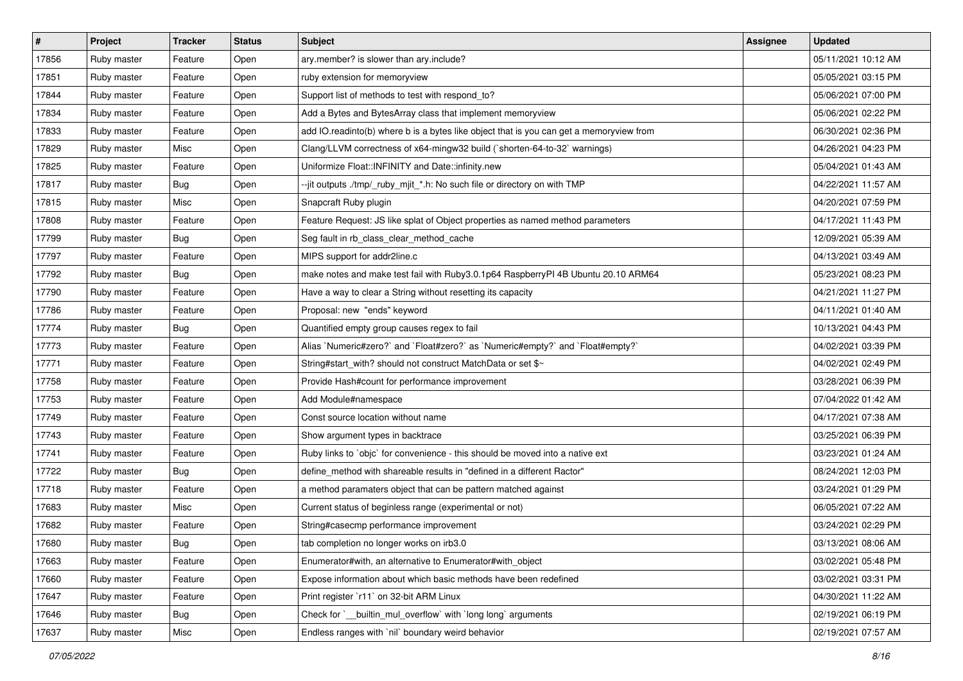| #     | Project     | <b>Tracker</b> | <b>Status</b> | <b>Subject</b>                                                                          | <b>Assignee</b> | <b>Updated</b>      |
|-------|-------------|----------------|---------------|-----------------------------------------------------------------------------------------|-----------------|---------------------|
| 17856 | Ruby master | Feature        | Open          | ary.member? is slower than ary.include?                                                 |                 | 05/11/2021 10:12 AM |
| 17851 | Ruby master | Feature        | Open          | ruby extension for memoryview                                                           |                 | 05/05/2021 03:15 PM |
| 17844 | Ruby master | Feature        | Open          | Support list of methods to test with respond_to?                                        |                 | 05/06/2021 07:00 PM |
| 17834 | Ruby master | Feature        | Open          | Add a Bytes and BytesArray class that implement memoryview                              |                 | 05/06/2021 02:22 PM |
| 17833 | Ruby master | Feature        | Open          | add IO.readinto(b) where b is a bytes like object that is you can get a memoryview from |                 | 06/30/2021 02:36 PM |
| 17829 | Ruby master | Misc           | Open          | Clang/LLVM correctness of x64-mingw32 build (`shorten-64-to-32` warnings)               |                 | 04/26/2021 04:23 PM |
| 17825 | Ruby master | Feature        | Open          | Uniformize Float::INFINITY and Date::infinity.new                                       |                 | 05/04/2021 01:43 AM |
| 17817 | Ruby master | <b>Bug</b>     | Open          | --jit outputs ./tmp/_ruby_mjit_*.h: No such file or directory on with TMP               |                 | 04/22/2021 11:57 AM |
| 17815 | Ruby master | Misc           | Open          | Snapcraft Ruby plugin                                                                   |                 | 04/20/2021 07:59 PM |
| 17808 | Ruby master | Feature        | Open          | Feature Request: JS like splat of Object properties as named method parameters          |                 | 04/17/2021 11:43 PM |
| 17799 | Ruby master | Bug            | Open          | Seg fault in rb_class_clear_method_cache                                                |                 | 12/09/2021 05:39 AM |
| 17797 | Ruby master | Feature        | Open          | MIPS support for addr2line.c                                                            |                 | 04/13/2021 03:49 AM |
| 17792 | Ruby master | <b>Bug</b>     | Open          | make notes and make test fail with Ruby 3.0.1p64 Raspberry PI 4B Ubuntu 20.10 ARM64     |                 | 05/23/2021 08:23 PM |
| 17790 | Ruby master | Feature        | Open          | Have a way to clear a String without resetting its capacity                             |                 | 04/21/2021 11:27 PM |
| 17786 | Ruby master | Feature        | Open          | Proposal: new "ends" keyword                                                            |                 | 04/11/2021 01:40 AM |
| 17774 | Ruby master | Bug            | Open          | Quantified empty group causes regex to fail                                             |                 | 10/13/2021 04:43 PM |
| 17773 | Ruby master | Feature        | Open          | Alias `Numeric#zero?` and `Float#zero?` as `Numeric#empty?` and `Float#empty?`          |                 | 04/02/2021 03:39 PM |
| 17771 | Ruby master | Feature        | Open          | String#start_with? should not construct MatchData or set \$~                            |                 | 04/02/2021 02:49 PM |
| 17758 | Ruby master | Feature        | Open          | Provide Hash#count for performance improvement                                          |                 | 03/28/2021 06:39 PM |
| 17753 | Ruby master | Feature        | Open          | Add Module#namespace                                                                    |                 | 07/04/2022 01:42 AM |
| 17749 | Ruby master | Feature        | Open          | Const source location without name                                                      |                 | 04/17/2021 07:38 AM |
| 17743 | Ruby master | Feature        | Open          | Show argument types in backtrace                                                        |                 | 03/25/2021 06:39 PM |
| 17741 | Ruby master | Feature        | Open          | Ruby links to `objc` for convenience - this should be moved into a native ext           |                 | 03/23/2021 01:24 AM |
| 17722 | Ruby master | <b>Bug</b>     | Open          | define_method with shareable results in "defined in a different Ractor"                 |                 | 08/24/2021 12:03 PM |
| 17718 | Ruby master | Feature        | Open          | a method paramaters object that can be pattern matched against                          |                 | 03/24/2021 01:29 PM |
| 17683 | Ruby master | Misc           | Open          | Current status of beginless range (experimental or not)                                 |                 | 06/05/2021 07:22 AM |
| 17682 | Ruby master | Feature        | Open          | String#casecmp performance improvement                                                  |                 | 03/24/2021 02:29 PM |
| 17680 | Ruby master | <b>Bug</b>     | Open          | tab completion no longer works on irb3.0                                                |                 | 03/13/2021 08:06 AM |
| 17663 | Ruby master | Feature        | Open          | Enumerator#with, an alternative to Enumerator#with object                               |                 | 03/02/2021 05:48 PM |
| 17660 | Ruby master | Feature        | Open          | Expose information about which basic methods have been redefined                        |                 | 03/02/2021 03:31 PM |
| 17647 | Ruby master | Feature        | Open          | Print register `r11` on 32-bit ARM Linux                                                |                 | 04/30/2021 11:22 AM |
| 17646 | Ruby master | <b>Bug</b>     | Open          | Check for `_builtin_mul_overflow` with `long long` arguments                            |                 | 02/19/2021 06:19 PM |
| 17637 | Ruby master | Misc           | Open          | Endless ranges with `nil` boundary weird behavior                                       |                 | 02/19/2021 07:57 AM |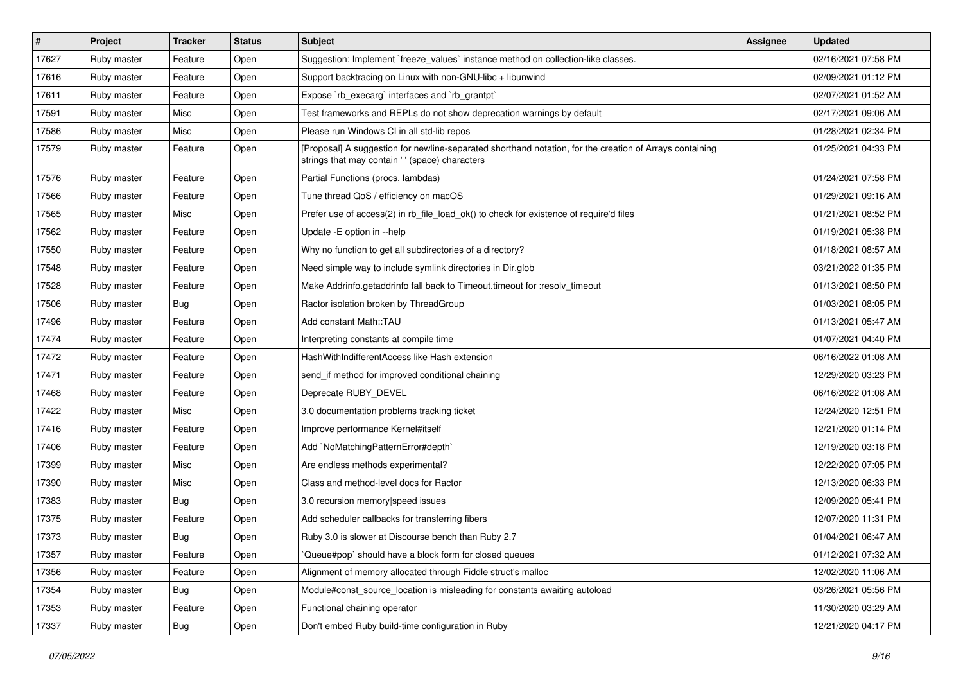| $\vert$ # | Project     | <b>Tracker</b> | <b>Status</b> | Subject                                                                                                                                                    | <b>Assignee</b> | <b>Updated</b>      |
|-----------|-------------|----------------|---------------|------------------------------------------------------------------------------------------------------------------------------------------------------------|-----------------|---------------------|
| 17627     | Ruby master | Feature        | Open          | Suggestion: Implement `freeze_values` instance method on collection-like classes.                                                                          |                 | 02/16/2021 07:58 PM |
| 17616     | Ruby master | Feature        | Open          | Support backtracing on Linux with non-GNU-libc + libunwind                                                                                                 |                 | 02/09/2021 01:12 PM |
| 17611     | Ruby master | Feature        | Open          | Expose `rb execarg` interfaces and `rb grantpt`                                                                                                            |                 | 02/07/2021 01:52 AM |
| 17591     | Ruby master | Misc           | Open          | Test frameworks and REPLs do not show deprecation warnings by default                                                                                      |                 | 02/17/2021 09:06 AM |
| 17586     | Ruby master | Misc           | Open          | Please run Windows CI in all std-lib repos                                                                                                                 |                 | 01/28/2021 02:34 PM |
| 17579     | Ruby master | Feature        | Open          | [Proposal] A suggestion for newline-separated shorthand notation, for the creation of Arrays containing<br>strings that may contain ' ' (space) characters |                 | 01/25/2021 04:33 PM |
| 17576     | Ruby master | Feature        | Open          | Partial Functions (procs, lambdas)                                                                                                                         |                 | 01/24/2021 07:58 PM |
| 17566     | Ruby master | Feature        | Open          | Tune thread QoS / efficiency on macOS                                                                                                                      |                 | 01/29/2021 09:16 AM |
| 17565     | Ruby master | Misc           | Open          | Prefer use of access(2) in rb_file_load_ok() to check for existence of require'd files                                                                     |                 | 01/21/2021 08:52 PM |
| 17562     | Ruby master | Feature        | Open          | Update - E option in --help                                                                                                                                |                 | 01/19/2021 05:38 PM |
| 17550     | Ruby master | Feature        | Open          | Why no function to get all subdirectories of a directory?                                                                                                  |                 | 01/18/2021 08:57 AM |
| 17548     | Ruby master | Feature        | Open          | Need simple way to include symlink directories in Dir.glob                                                                                                 |                 | 03/21/2022 01:35 PM |
| 17528     | Ruby master | Feature        | Open          | Make Addrinfo.getaddrinfo fall back to Timeout.timeout for :resolv_timeout                                                                                 |                 | 01/13/2021 08:50 PM |
| 17506     | Ruby master | <b>Bug</b>     | Open          | Ractor isolation broken by ThreadGroup                                                                                                                     |                 | 01/03/2021 08:05 PM |
| 17496     | Ruby master | Feature        | Open          | Add constant Math::TAU                                                                                                                                     |                 | 01/13/2021 05:47 AM |
| 17474     | Ruby master | Feature        | Open          | Interpreting constants at compile time                                                                                                                     |                 | 01/07/2021 04:40 PM |
| 17472     | Ruby master | Feature        | Open          | HashWithIndifferentAccess like Hash extension                                                                                                              |                 | 06/16/2022 01:08 AM |
| 17471     | Ruby master | Feature        | Open          | send if method for improved conditional chaining                                                                                                           |                 | 12/29/2020 03:23 PM |
| 17468     | Ruby master | Feature        | Open          | Deprecate RUBY_DEVEL                                                                                                                                       |                 | 06/16/2022 01:08 AM |
| 17422     | Ruby master | Misc           | Open          | 3.0 documentation problems tracking ticket                                                                                                                 |                 | 12/24/2020 12:51 PM |
| 17416     | Ruby master | Feature        | Open          | Improve performance Kernel#itself                                                                                                                          |                 | 12/21/2020 01:14 PM |
| 17406     | Ruby master | Feature        | Open          | Add `NoMatchingPatternError#depth`                                                                                                                         |                 | 12/19/2020 03:18 PM |
| 17399     | Ruby master | Misc           | Open          | Are endless methods experimental?                                                                                                                          |                 | 12/22/2020 07:05 PM |
| 17390     | Ruby master | Misc           | Open          | Class and method-level docs for Ractor                                                                                                                     |                 | 12/13/2020 06:33 PM |
| 17383     | Ruby master | <b>Bug</b>     | Open          | 3.0 recursion memory speed issues                                                                                                                          |                 | 12/09/2020 05:41 PM |
| 17375     | Ruby master | Feature        | Open          | Add scheduler callbacks for transferring fibers                                                                                                            |                 | 12/07/2020 11:31 PM |
| 17373     | Ruby master | <b>Bug</b>     | Open          | Ruby 3.0 is slower at Discourse bench than Ruby 2.7                                                                                                        |                 | 01/04/2021 06:47 AM |
| 17357     | Ruby master | Feature        | Open          | Queue#pop` should have a block form for closed queues                                                                                                      |                 | 01/12/2021 07:32 AM |
| 17356     | Ruby master | Feature        | Open          | Alignment of memory allocated through Fiddle struct's malloc                                                                                               |                 | 12/02/2020 11:06 AM |
| 17354     | Ruby master | <b>Bug</b>     | Open          | Module#const_source_location is misleading for constants awaiting autoload                                                                                 |                 | 03/26/2021 05:56 PM |
| 17353     | Ruby master | Feature        | Open          | Functional chaining operator                                                                                                                               |                 | 11/30/2020 03:29 AM |
| 17337     | Ruby master | <b>Bug</b>     | Open          | Don't embed Ruby build-time configuration in Ruby                                                                                                          |                 | 12/21/2020 04:17 PM |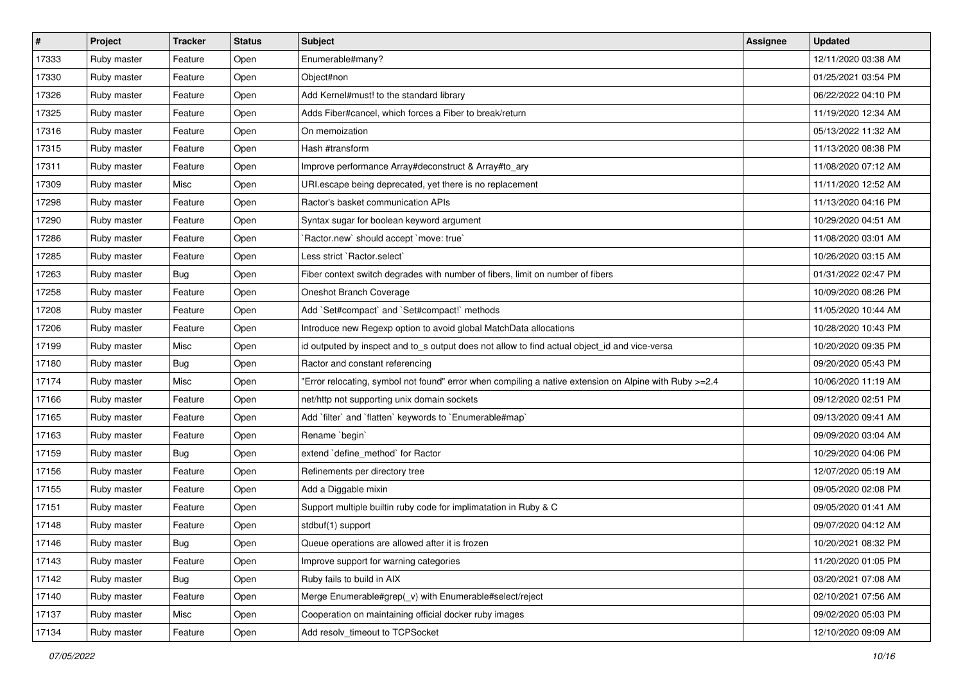| $\vert$ # | Project     | <b>Tracker</b> | <b>Status</b> | Subject                                                                                                | <b>Assignee</b> | <b>Updated</b>      |
|-----------|-------------|----------------|---------------|--------------------------------------------------------------------------------------------------------|-----------------|---------------------|
| 17333     | Ruby master | Feature        | Open          | Enumerable#many?                                                                                       |                 | 12/11/2020 03:38 AM |
| 17330     | Ruby master | Feature        | Open          | Object#non                                                                                             |                 | 01/25/2021 03:54 PM |
| 17326     | Ruby master | Feature        | Open          | Add Kernel#must! to the standard library                                                               |                 | 06/22/2022 04:10 PM |
| 17325     | Ruby master | Feature        | Open          | Adds Fiber#cancel, which forces a Fiber to break/return                                                |                 | 11/19/2020 12:34 AM |
| 17316     | Ruby master | Feature        | Open          | On memoization                                                                                         |                 | 05/13/2022 11:32 AM |
| 17315     | Ruby master | Feature        | Open          | Hash #transform                                                                                        |                 | 11/13/2020 08:38 PM |
| 17311     | Ruby master | Feature        | Open          | Improve performance Array#deconstruct & Array#to_ary                                                   |                 | 11/08/2020 07:12 AM |
| 17309     | Ruby master | Misc           | Open          | URI.escape being deprecated, yet there is no replacement                                               |                 | 11/11/2020 12:52 AM |
| 17298     | Ruby master | Feature        | Open          | Ractor's basket communication APIs                                                                     |                 | 11/13/2020 04:16 PM |
| 17290     | Ruby master | Feature        | Open          | Syntax sugar for boolean keyword argument                                                              |                 | 10/29/2020 04:51 AM |
| 17286     | Ruby master | Feature        | Open          | `Ractor.new` should accept `move: true`                                                                |                 | 11/08/2020 03:01 AM |
| 17285     | Ruby master | Feature        | Open          | Less strict `Ractor.select`                                                                            |                 | 10/26/2020 03:15 AM |
| 17263     | Ruby master | Bug            | Open          | Fiber context switch degrades with number of fibers, limit on number of fibers                         |                 | 01/31/2022 02:47 PM |
| 17258     | Ruby master | Feature        | Open          | Oneshot Branch Coverage                                                                                |                 | 10/09/2020 08:26 PM |
| 17208     | Ruby master | Feature        | Open          | Add `Set#compact` and `Set#compact!` methods                                                           |                 | 11/05/2020 10:44 AM |
| 17206     | Ruby master | Feature        | Open          | Introduce new Regexp option to avoid global MatchData allocations                                      |                 | 10/28/2020 10:43 PM |
| 17199     | Ruby master | Misc           | Open          | id outputed by inspect and to_s output does not allow to find actual object_id and vice-versa          |                 | 10/20/2020 09:35 PM |
| 17180     | Ruby master | Bug            | Open          | Ractor and constant referencing                                                                        |                 | 09/20/2020 05:43 PM |
| 17174     | Ruby master | Misc           | Open          | "Error relocating, symbol not found" error when compiling a native extension on Alpine with Ruby >=2.4 |                 | 10/06/2020 11:19 AM |
| 17166     | Ruby master | Feature        | Open          | net/http not supporting unix domain sockets                                                            |                 | 09/12/2020 02:51 PM |
| 17165     | Ruby master | Feature        | Open          | Add 'filter' and 'flatten' keywords to 'Enumerable#map'                                                |                 | 09/13/2020 09:41 AM |
| 17163     | Ruby master | Feature        | Open          | Rename `begin`                                                                                         |                 | 09/09/2020 03:04 AM |
| 17159     | Ruby master | <b>Bug</b>     | Open          | extend 'define_method' for Ractor                                                                      |                 | 10/29/2020 04:06 PM |
| 17156     | Ruby master | Feature        | Open          | Refinements per directory tree                                                                         |                 | 12/07/2020 05:19 AM |
| 17155     | Ruby master | Feature        | Open          | Add a Diggable mixin                                                                                   |                 | 09/05/2020 02:08 PM |
| 17151     | Ruby master | Feature        | Open          | Support multiple builtin ruby code for implimatation in Ruby & C                                       |                 | 09/05/2020 01:41 AM |
| 17148     | Ruby master | Feature        | Open          | stdbuf(1) support                                                                                      |                 | 09/07/2020 04:12 AM |
| 17146     | Ruby master | <b>Bug</b>     | Open          | Queue operations are allowed after it is frozen                                                        |                 | 10/20/2021 08:32 PM |
| 17143     | Ruby master | Feature        | Open          | Improve support for warning categories                                                                 |                 | 11/20/2020 01:05 PM |
| 17142     | Ruby master | Bug            | Open          | Ruby fails to build in AIX                                                                             |                 | 03/20/2021 07:08 AM |
| 17140     | Ruby master | Feature        | Open          | Merge Enumerable#grep(_v) with Enumerable#select/reject                                                |                 | 02/10/2021 07:56 AM |
| 17137     | Ruby master | Misc           | Open          | Cooperation on maintaining official docker ruby images                                                 |                 | 09/02/2020 05:03 PM |
| 17134     | Ruby master | Feature        | Open          | Add resolv_timeout to TCPSocket                                                                        |                 | 12/10/2020 09:09 AM |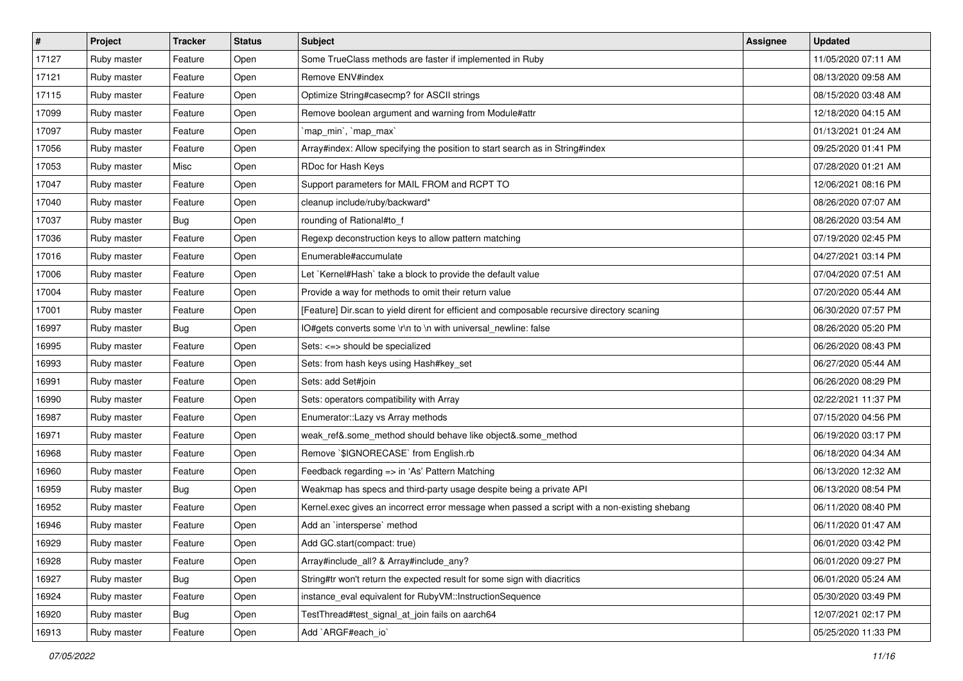| $\vert$ # | Project     | <b>Tracker</b> | <b>Status</b> | <b>Subject</b>                                                                                | <b>Assignee</b> | <b>Updated</b>      |
|-----------|-------------|----------------|---------------|-----------------------------------------------------------------------------------------------|-----------------|---------------------|
| 17127     | Ruby master | Feature        | Open          | Some TrueClass methods are faster if implemented in Ruby                                      |                 | 11/05/2020 07:11 AM |
| 17121     | Ruby master | Feature        | Open          | Remove ENV#index                                                                              |                 | 08/13/2020 09:58 AM |
| 17115     | Ruby master | Feature        | Open          | Optimize String#casecmp? for ASCII strings                                                    |                 | 08/15/2020 03:48 AM |
| 17099     | Ruby master | Feature        | Open          | Remove boolean argument and warning from Module#attr                                          |                 | 12/18/2020 04:15 AM |
| 17097     | Ruby master | Feature        | Open          | `map_min`, `map_max`                                                                          |                 | 01/13/2021 01:24 AM |
| 17056     | Ruby master | Feature        | Open          | Array#index: Allow specifying the position to start search as in String#index                 |                 | 09/25/2020 01:41 PM |
| 17053     | Ruby master | Misc           | Open          | RDoc for Hash Keys                                                                            |                 | 07/28/2020 01:21 AM |
| 17047     | Ruby master | Feature        | Open          | Support parameters for MAIL FROM and RCPT TO                                                  |                 | 12/06/2021 08:16 PM |
| 17040     | Ruby master | Feature        | Open          | cleanup include/ruby/backward*                                                                |                 | 08/26/2020 07:07 AM |
| 17037     | Ruby master | <b>Bug</b>     | Open          | rounding of Rational#to_f                                                                     |                 | 08/26/2020 03:54 AM |
| 17036     | Ruby master | Feature        | Open          | Regexp deconstruction keys to allow pattern matching                                          |                 | 07/19/2020 02:45 PM |
| 17016     | Ruby master | Feature        | Open          | Enumerable#accumulate                                                                         |                 | 04/27/2021 03:14 PM |
| 17006     | Ruby master | Feature        | Open          | Let `Kernel#Hash` take a block to provide the default value                                   |                 | 07/04/2020 07:51 AM |
| 17004     | Ruby master | Feature        | Open          | Provide a way for methods to omit their return value                                          |                 | 07/20/2020 05:44 AM |
| 17001     | Ruby master | Feature        | Open          | [Feature] Dir.scan to yield dirent for efficient and composable recursive directory scaning   |                 | 06/30/2020 07:57 PM |
| 16997     | Ruby master | <b>Bug</b>     | Open          | IO#gets converts some \r\n to \n with universal_newline: false                                |                 | 08/26/2020 05:20 PM |
| 16995     | Ruby master | Feature        | Open          | Sets: <=> should be specialized                                                               |                 | 06/26/2020 08:43 PM |
| 16993     | Ruby master | Feature        | Open          | Sets: from hash keys using Hash#key_set                                                       |                 | 06/27/2020 05:44 AM |
| 16991     | Ruby master | Feature        | Open          | Sets: add Set#join                                                                            |                 | 06/26/2020 08:29 PM |
| 16990     | Ruby master | Feature        | Open          | Sets: operators compatibility with Array                                                      |                 | 02/22/2021 11:37 PM |
| 16987     | Ruby master | Feature        | Open          | Enumerator:: Lazy vs Array methods                                                            |                 | 07/15/2020 04:56 PM |
| 16971     | Ruby master | Feature        | Open          | weak_ref&.some_method should behave like object&.some_method                                  |                 | 06/19/2020 03:17 PM |
| 16968     | Ruby master | Feature        | Open          | Remove `\$IGNORECASE` from English.rb                                                         |                 | 06/18/2020 04:34 AM |
| 16960     | Ruby master | Feature        | Open          | Feedback regarding => in 'As' Pattern Matching                                                |                 | 06/13/2020 12:32 AM |
| 16959     | Ruby master | Bug            | Open          | Weakmap has specs and third-party usage despite being a private API                           |                 | 06/13/2020 08:54 PM |
| 16952     | Ruby master | Feature        | Open          | Kernel.exec gives an incorrect error message when passed a script with a non-existing shebang |                 | 06/11/2020 08:40 PM |
| 16946     | Ruby master | Feature        | Open          | Add an `intersperse` method                                                                   |                 | 06/11/2020 01:47 AM |
| 16929     | Ruby master | Feature        | Open          | Add GC.start(compact: true)                                                                   |                 | 06/01/2020 03:42 PM |
| 16928     | Ruby master | Feature        | Open          | Array#include all? & Array#include any?                                                       |                 | 06/01/2020 09:27 PM |
| 16927     | Ruby master | <b>Bug</b>     | Open          | String#tr won't return the expected result for some sign with diacritics                      |                 | 06/01/2020 05:24 AM |
| 16924     | Ruby master | Feature        | Open          | instance eval equivalent for RubyVM::InstructionSequence                                      |                 | 05/30/2020 03:49 PM |
| 16920     | Ruby master | <b>Bug</b>     | Open          | TestThread#test signal at join fails on aarch64                                               |                 | 12/07/2021 02:17 PM |
| 16913     | Ruby master | Feature        | Open          | Add `ARGF#each_io`                                                                            |                 | 05/25/2020 11:33 PM |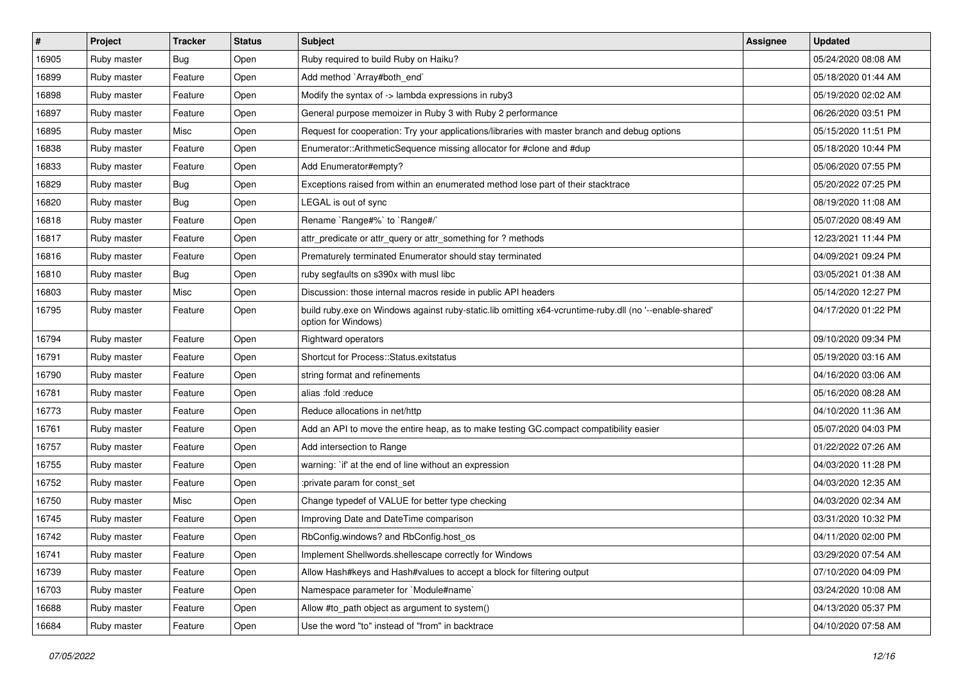| $\sharp$ | <b>Project</b> | <b>Tracker</b> | <b>Status</b> | Subject                                                                                                                        | <b>Assignee</b> | <b>Updated</b>      |
|----------|----------------|----------------|---------------|--------------------------------------------------------------------------------------------------------------------------------|-----------------|---------------------|
| 16905    | Ruby master    | <b>Bug</b>     | Open          | Ruby required to build Ruby on Haiku?                                                                                          |                 | 05/24/2020 08:08 AM |
| 16899    | Ruby master    | Feature        | Open          | Add method `Array#both_end`                                                                                                    |                 | 05/18/2020 01:44 AM |
| 16898    | Ruby master    | Feature        | Open          | Modify the syntax of -> lambda expressions in ruby3                                                                            |                 | 05/19/2020 02:02 AM |
| 16897    | Ruby master    | Feature        | Open          | General purpose memoizer in Ruby 3 with Ruby 2 performance                                                                     |                 | 06/26/2020 03:51 PM |
| 16895    | Ruby master    | Misc           | Open          | Request for cooperation: Try your applications/libraries with master branch and debug options                                  |                 | 05/15/2020 11:51 PM |
| 16838    | Ruby master    | Feature        | Open          | Enumerator::ArithmeticSequence missing allocator for #clone and #dup                                                           |                 | 05/18/2020 10:44 PM |
| 16833    | Ruby master    | Feature        | Open          | Add Enumerator#empty?                                                                                                          |                 | 05/06/2020 07:55 PM |
| 16829    | Ruby master    | <b>Bug</b>     | Open          | Exceptions raised from within an enumerated method lose part of their stacktrace                                               |                 | 05/20/2022 07:25 PM |
| 16820    | Ruby master    | <b>Bug</b>     | Open          | LEGAL is out of sync                                                                                                           |                 | 08/19/2020 11:08 AM |
| 16818    | Ruby master    | Feature        | Open          | Rename `Range#%` to `Range#/`                                                                                                  |                 | 05/07/2020 08:49 AM |
| 16817    | Ruby master    | Feature        | Open          | attr_predicate or attr_query or attr_something for ? methods                                                                   |                 | 12/23/2021 11:44 PM |
| 16816    | Ruby master    | Feature        | Open          | Prematurely terminated Enumerator should stay terminated                                                                       |                 | 04/09/2021 09:24 PM |
| 16810    | Ruby master    | <b>Bug</b>     | Open          | ruby segfaults on s390x with musl libc                                                                                         |                 | 03/05/2021 01:38 AM |
| 16803    | Ruby master    | Misc           | Open          | Discussion: those internal macros reside in public API headers                                                                 |                 | 05/14/2020 12:27 PM |
| 16795    | Ruby master    | Feature        | Open          | build ruby.exe on Windows against ruby-static.lib omitting x64-vcruntime-ruby.dll (no '--enable-shared'<br>option for Windows) |                 | 04/17/2020 01:22 PM |
| 16794    | Ruby master    | Feature        | Open          | Rightward operators                                                                                                            |                 | 09/10/2020 09:34 PM |
| 16791    | Ruby master    | Feature        | Open          | Shortcut for Process::Status.exitstatus                                                                                        |                 | 05/19/2020 03:16 AM |
| 16790    | Ruby master    | Feature        | Open          | string format and refinements                                                                                                  |                 | 04/16/2020 03:06 AM |
| 16781    | Ruby master    | Feature        | Open          | alias :fold :reduce                                                                                                            |                 | 05/16/2020 08:28 AM |
| 16773    | Ruby master    | Feature        | Open          | Reduce allocations in net/http                                                                                                 |                 | 04/10/2020 11:36 AM |
| 16761    | Ruby master    | Feature        | Open          | Add an API to move the entire heap, as to make testing GC.compact compatibility easier                                         |                 | 05/07/2020 04:03 PM |
| 16757    | Ruby master    | Feature        | Open          | Add intersection to Range                                                                                                      |                 | 01/22/2022 07:26 AM |
| 16755    | Ruby master    | Feature        | Open          | warning: `if' at the end of line without an expression                                                                         |                 | 04/03/2020 11:28 PM |
| 16752    | Ruby master    | Feature        | Open          | :private param for const_set                                                                                                   |                 | 04/03/2020 12:35 AM |
| 16750    | Ruby master    | Misc           | Open          | Change typedef of VALUE for better type checking                                                                               |                 | 04/03/2020 02:34 AM |
| 16745    | Ruby master    | Feature        | Open          | Improving Date and DateTime comparison                                                                                         |                 | 03/31/2020 10:32 PM |
| 16742    | Ruby master    | Feature        | Open          | RbConfig.windows? and RbConfig.host os                                                                                         |                 | 04/11/2020 02:00 PM |
| 16741    | Ruby master    | Feature        | Open          | Implement Shellwords.shellescape correctly for Windows                                                                         |                 | 03/29/2020 07:54 AM |
| 16739    | Ruby master    | Feature        | Open          | Allow Hash#keys and Hash#values to accept a block for filtering output                                                         |                 | 07/10/2020 04:09 PM |
| 16703    | Ruby master    | Feature        | Open          | Namespace parameter for `Module#name`                                                                                          |                 | 03/24/2020 10:08 AM |
| 16688    | Ruby master    | Feature        | Open          | Allow #to_path object as argument to system()                                                                                  |                 | 04/13/2020 05:37 PM |
| 16684    | Ruby master    | Feature        | Open          | Use the word "to" instead of "from" in backtrace                                                                               |                 | 04/10/2020 07:58 AM |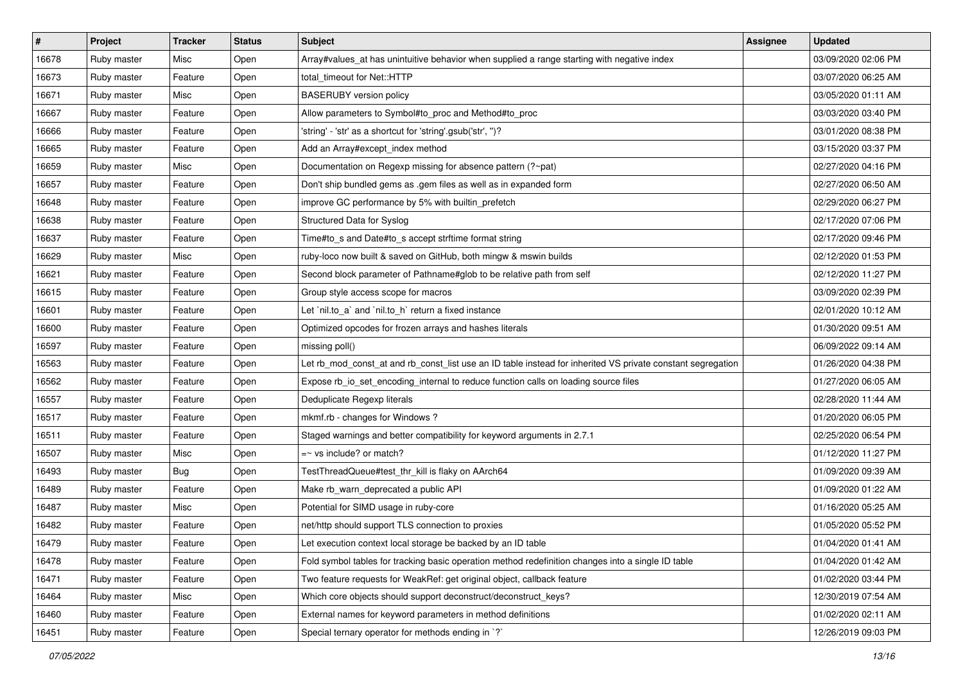| $\vert$ # | Project     | <b>Tracker</b> | <b>Status</b> | <b>Subject</b>                                                                                              | <b>Assignee</b> | <b>Updated</b>      |
|-----------|-------------|----------------|---------------|-------------------------------------------------------------------------------------------------------------|-----------------|---------------------|
| 16678     | Ruby master | Misc           | Open          | Array#values_at has unintuitive behavior when supplied a range starting with negative index                 |                 | 03/09/2020 02:06 PM |
| 16673     | Ruby master | Feature        | Open          | total timeout for Net::HTTP                                                                                 |                 | 03/07/2020 06:25 AM |
| 16671     | Ruby master | Misc           | Open          | <b>BASERUBY</b> version policy                                                                              |                 | 03/05/2020 01:11 AM |
| 16667     | Ruby master | Feature        | Open          | Allow parameters to Symbol#to_proc and Method#to_proc                                                       |                 | 03/03/2020 03:40 PM |
| 16666     | Ruby master | Feature        | Open          | 'string' - 'str' as a shortcut for 'string'.gsub('str', ")?                                                 |                 | 03/01/2020 08:38 PM |
| 16665     | Ruby master | Feature        | Open          | Add an Array#except index method                                                                            |                 | 03/15/2020 03:37 PM |
| 16659     | Ruby master | Misc           | Open          | Documentation on Regexp missing for absence pattern (?~pat)                                                 |                 | 02/27/2020 04:16 PM |
| 16657     | Ruby master | Feature        | Open          | Don't ship bundled gems as .gem files as well as in expanded form                                           |                 | 02/27/2020 06:50 AM |
| 16648     | Ruby master | Feature        | Open          | improve GC performance by 5% with builtin_prefetch                                                          |                 | 02/29/2020 06:27 PM |
| 16638     | Ruby master | Feature        | Open          | Structured Data for Syslog                                                                                  |                 | 02/17/2020 07:06 PM |
| 16637     | Ruby master | Feature        | Open          | Time#to_s and Date#to_s accept strftime format string                                                       |                 | 02/17/2020 09:46 PM |
| 16629     | Ruby master | Misc           | Open          | ruby-loco now built & saved on GitHub, both mingw & mswin builds                                            |                 | 02/12/2020 01:53 PM |
| 16621     | Ruby master | Feature        | Open          | Second block parameter of Pathname#glob to be relative path from self                                       |                 | 02/12/2020 11:27 PM |
| 16615     | Ruby master | Feature        | Open          | Group style access scope for macros                                                                         |                 | 03/09/2020 02:39 PM |
| 16601     | Ruby master | Feature        | Open          | Let `nil.to_a` and `nil.to_h` return a fixed instance                                                       |                 | 02/01/2020 10:12 AM |
| 16600     | Ruby master | Feature        | Open          | Optimized opcodes for frozen arrays and hashes literals                                                     |                 | 01/30/2020 09:51 AM |
| 16597     | Ruby master | Feature        | Open          | missing poll()                                                                                              |                 | 06/09/2022 09:14 AM |
| 16563     | Ruby master | Feature        | Open          | Let rb_mod_const_at and rb_const_list use an ID table instead for inherited VS private constant segregation |                 | 01/26/2020 04:38 PM |
| 16562     | Ruby master | Feature        | Open          | Expose rb_io_set_encoding_internal to reduce function calls on loading source files                         |                 | 01/27/2020 06:05 AM |
| 16557     | Ruby master | Feature        | Open          | Deduplicate Regexp literals                                                                                 |                 | 02/28/2020 11:44 AM |
| 16517     | Ruby master | Feature        | Open          | mkmf.rb - changes for Windows?                                                                              |                 | 01/20/2020 06:05 PM |
| 16511     | Ruby master | Feature        | Open          | Staged warnings and better compatibility for keyword arguments in 2.7.1                                     |                 | 02/25/2020 06:54 PM |
| 16507     | Ruby master | Misc           | Open          | $=$ vs include? or match?                                                                                   |                 | 01/12/2020 11:27 PM |
| 16493     | Ruby master | Bug            | Open          | TestThreadQueue#test_thr_kill is flaky on AArch64                                                           |                 | 01/09/2020 09:39 AM |
| 16489     | Ruby master | Feature        | Open          | Make rb_warn_deprecated a public API                                                                        |                 | 01/09/2020 01:22 AM |
| 16487     | Ruby master | Misc           | Open          | Potential for SIMD usage in ruby-core                                                                       |                 | 01/16/2020 05:25 AM |
| 16482     | Ruby master | Feature        | Open          | net/http should support TLS connection to proxies                                                           |                 | 01/05/2020 05:52 PM |
| 16479     | Ruby master | Feature        | Open          | Let execution context local storage be backed by an ID table                                                |                 | 01/04/2020 01:41 AM |
| 16478     | Ruby master | Feature        | Open          | Fold symbol tables for tracking basic operation method redefinition changes into a single ID table          |                 | 01/04/2020 01:42 AM |
| 16471     | Ruby master | Feature        | Open          | Two feature requests for WeakRef: get original object, callback feature                                     |                 | 01/02/2020 03:44 PM |
| 16464     | Ruby master | Misc           | Open          | Which core objects should support deconstruct/deconstruct_keys?                                             |                 | 12/30/2019 07:54 AM |
| 16460     | Ruby master | Feature        | Open          | External names for keyword parameters in method definitions                                                 |                 | 01/02/2020 02:11 AM |
| 16451     | Ruby master | Feature        | Open          | Special ternary operator for methods ending in `?`                                                          |                 | 12/26/2019 09:03 PM |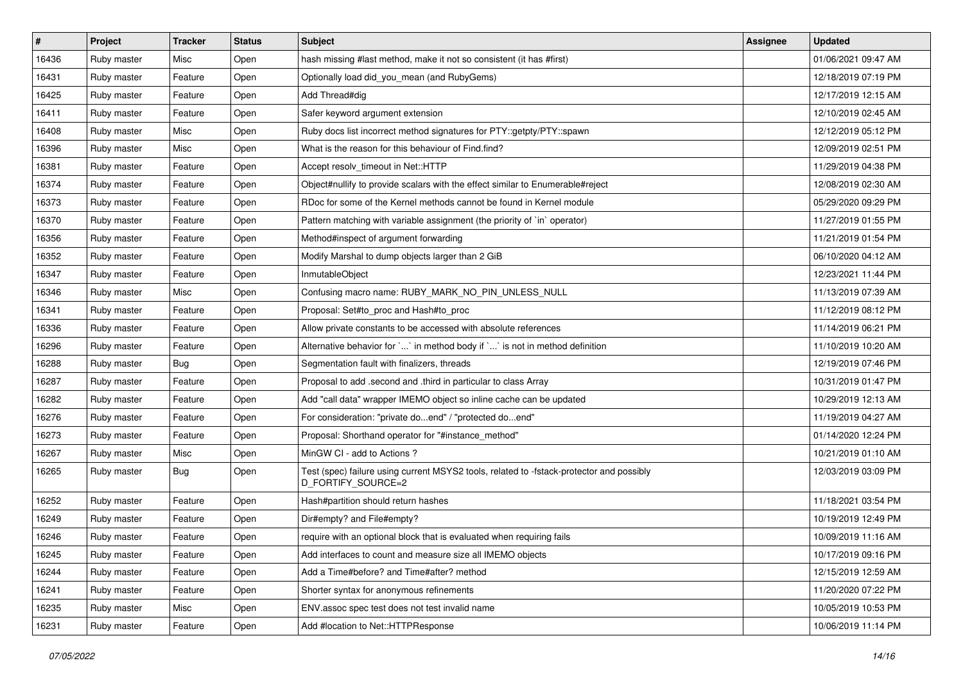| $\vert$ # | Project     | <b>Tracker</b> | <b>Status</b> | <b>Subject</b>                                                                                                 | <b>Assignee</b> | <b>Updated</b>      |
|-----------|-------------|----------------|---------------|----------------------------------------------------------------------------------------------------------------|-----------------|---------------------|
| 16436     | Ruby master | Misc           | Open          | hash missing #last method, make it not so consistent (it has #first)                                           |                 | 01/06/2021 09:47 AM |
| 16431     | Ruby master | Feature        | Open          | Optionally load did_you_mean (and RubyGems)                                                                    |                 | 12/18/2019 07:19 PM |
| 16425     | Ruby master | Feature        | Open          | Add Thread#dig                                                                                                 |                 | 12/17/2019 12:15 AM |
| 16411     | Ruby master | Feature        | Open          | Safer keyword argument extension                                                                               |                 | 12/10/2019 02:45 AM |
| 16408     | Ruby master | Misc           | Open          | Ruby docs list incorrect method signatures for PTY::getpty/PTY::spawn                                          |                 | 12/12/2019 05:12 PM |
| 16396     | Ruby master | Misc           | Open          | What is the reason for this behaviour of Find.find?                                                            |                 | 12/09/2019 02:51 PM |
| 16381     | Ruby master | Feature        | Open          | Accept resolv timeout in Net::HTTP                                                                             |                 | 11/29/2019 04:38 PM |
| 16374     | Ruby master | Feature        | Open          | Object#nullify to provide scalars with the effect similar to Enumerable#reject                                 |                 | 12/08/2019 02:30 AM |
| 16373     | Ruby master | Feature        | Open          | RDoc for some of the Kernel methods cannot be found in Kernel module                                           |                 | 05/29/2020 09:29 PM |
| 16370     | Ruby master | Feature        | Open          | Pattern matching with variable assignment (the priority of `in` operator)                                      |                 | 11/27/2019 01:55 PM |
| 16356     | Ruby master | Feature        | Open          | Method#inspect of argument forwarding                                                                          |                 | 11/21/2019 01:54 PM |
| 16352     | Ruby master | Feature        | Open          | Modify Marshal to dump objects larger than 2 GiB                                                               |                 | 06/10/2020 04:12 AM |
| 16347     | Ruby master | Feature        | Open          | InmutableObject                                                                                                |                 | 12/23/2021 11:44 PM |
| 16346     | Ruby master | Misc           | Open          | Confusing macro name: RUBY_MARK_NO_PIN_UNLESS_NULL                                                             |                 | 11/13/2019 07:39 AM |
| 16341     | Ruby master | Feature        | Open          | Proposal: Set#to_proc and Hash#to_proc                                                                         |                 | 11/12/2019 08:12 PM |
| 16336     | Ruby master | Feature        | Open          | Allow private constants to be accessed with absolute references                                                |                 | 11/14/2019 06:21 PM |
| 16296     | Ruby master | Feature        | Open          | Alternative behavior for `' in method body if `' is not in method definition                                   |                 | 11/10/2019 10:20 AM |
| 16288     | Ruby master | <b>Bug</b>     | Open          | Segmentation fault with finalizers, threads                                                                    |                 | 12/19/2019 07:46 PM |
| 16287     | Ruby master | Feature        | Open          | Proposal to add .second and .third in particular to class Array                                                |                 | 10/31/2019 01:47 PM |
| 16282     | Ruby master | Feature        | Open          | Add "call data" wrapper IMEMO object so inline cache can be updated                                            |                 | 10/29/2019 12:13 AM |
| 16276     | Ruby master | Feature        | Open          | For consideration: "private doend" / "protected doend"                                                         |                 | 11/19/2019 04:27 AM |
| 16273     | Ruby master | Feature        | Open          | Proposal: Shorthand operator for "#instance_method"                                                            |                 | 01/14/2020 12:24 PM |
| 16267     | Ruby master | Misc           | Open          | MinGW CI - add to Actions ?                                                                                    |                 | 10/21/2019 01:10 AM |
| 16265     | Ruby master | <b>Bug</b>     | Open          | Test (spec) failure using current MSYS2 tools, related to -fstack-protector and possibly<br>D_FORTIFY_SOURCE=2 |                 | 12/03/2019 03:09 PM |
| 16252     | Ruby master | Feature        | Open          | Hash#partition should return hashes                                                                            |                 | 11/18/2021 03:54 PM |
| 16249     | Ruby master | Feature        | Open          | Dir#empty? and File#empty?                                                                                     |                 | 10/19/2019 12:49 PM |
| 16246     | Ruby master | Feature        | Open          | require with an optional block that is evaluated when requiring fails                                          |                 | 10/09/2019 11:16 AM |
| 16245     | Ruby master | Feature        | Open          | Add interfaces to count and measure size all IMEMO objects                                                     |                 | 10/17/2019 09:16 PM |
| 16244     | Ruby master | Feature        | Open          | Add a Time#before? and Time#after? method                                                                      |                 | 12/15/2019 12:59 AM |
| 16241     | Ruby master | Feature        | Open          | Shorter syntax for anonymous refinements                                                                       |                 | 11/20/2020 07:22 PM |
| 16235     | Ruby master | Misc           | Open          | ENV assoc spec test does not test invalid name                                                                 |                 | 10/05/2019 10:53 PM |
| 16231     | Ruby master | Feature        | Open          | Add #location to Net::HTTPResponse                                                                             |                 | 10/06/2019 11:14 PM |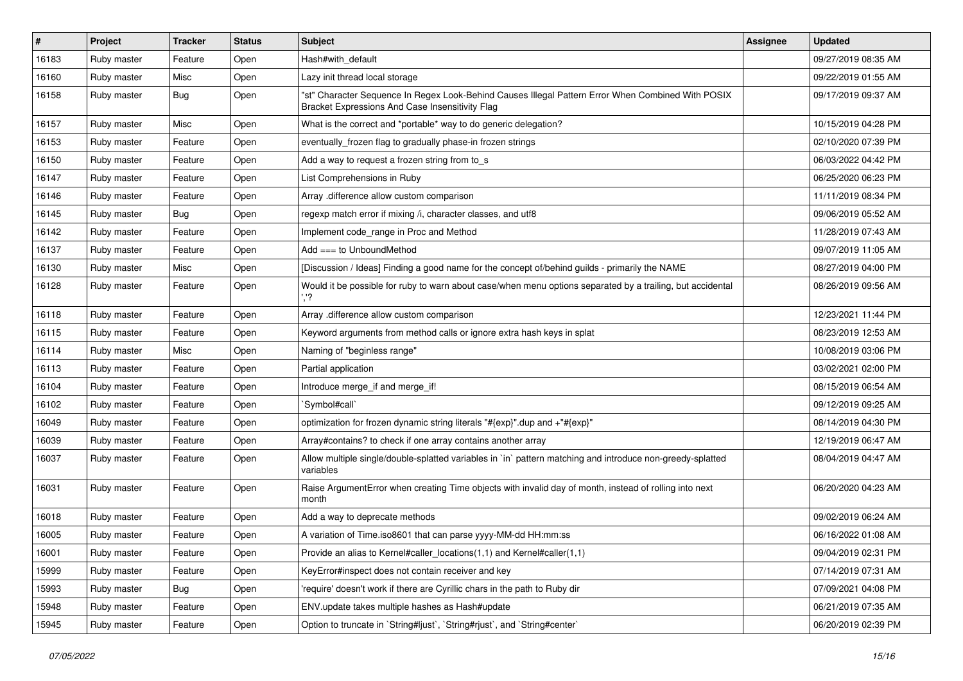| #     | Project     | <b>Tracker</b> | <b>Status</b> | <b>Subject</b>                                                                                                                                        | <b>Assignee</b> | <b>Updated</b>      |
|-------|-------------|----------------|---------------|-------------------------------------------------------------------------------------------------------------------------------------------------------|-----------------|---------------------|
| 16183 | Ruby master | Feature        | Open          | Hash#with_default                                                                                                                                     |                 | 09/27/2019 08:35 AM |
| 16160 | Ruby master | Misc           | Open          | Lazy init thread local storage                                                                                                                        |                 | 09/22/2019 01:55 AM |
| 16158 | Ruby master | <b>Bug</b>     | Open          | "st" Character Sequence In Regex Look-Behind Causes Illegal Pattern Error When Combined With POSIX<br>Bracket Expressions And Case Insensitivity Flag |                 | 09/17/2019 09:37 AM |
| 16157 | Ruby master | Misc           | Open          | What is the correct and *portable* way to do generic delegation?                                                                                      |                 | 10/15/2019 04:28 PM |
| 16153 | Ruby master | Feature        | Open          | eventually_frozen flag to gradually phase-in frozen strings                                                                                           |                 | 02/10/2020 07:39 PM |
| 16150 | Ruby master | Feature        | Open          | Add a way to request a frozen string from to_s                                                                                                        |                 | 06/03/2022 04:42 PM |
| 16147 | Ruby master | Feature        | Open          | List Comprehensions in Ruby                                                                                                                           |                 | 06/25/2020 06:23 PM |
| 16146 | Ruby master | Feature        | Open          | Array .difference allow custom comparison                                                                                                             |                 | 11/11/2019 08:34 PM |
| 16145 | Ruby master | <b>Bug</b>     | Open          | regexp match error if mixing /i, character classes, and utf8                                                                                          |                 | 09/06/2019 05:52 AM |
| 16142 | Ruby master | Feature        | Open          | Implement code_range in Proc and Method                                                                                                               |                 | 11/28/2019 07:43 AM |
| 16137 | Ruby master | Feature        | Open          | Add $==$ to UnboundMethod                                                                                                                             |                 | 09/07/2019 11:05 AM |
| 16130 | Ruby master | Misc           | Open          | [Discussion / Ideas] Finding a good name for the concept of/behind guilds - primarily the NAME                                                        |                 | 08/27/2019 04:00 PM |
| 16128 | Ruby master | Feature        | Open          | Would it be possible for ruby to warn about case/when menu options separated by a trailing, but accidental                                            |                 | 08/26/2019 09:56 AM |
| 16118 | Ruby master | Feature        | Open          | Array .difference allow custom comparison                                                                                                             |                 | 12/23/2021 11:44 PM |
| 16115 | Ruby master | Feature        | Open          | Keyword arguments from method calls or ignore extra hash keys in splat                                                                                |                 | 08/23/2019 12:53 AM |
| 16114 | Ruby master | Misc           | Open          | Naming of "beginless range"                                                                                                                           |                 | 10/08/2019 03:06 PM |
| 16113 | Ruby master | Feature        | Open          | Partial application                                                                                                                                   |                 | 03/02/2021 02:00 PM |
| 16104 | Ruby master | Feature        | Open          | Introduce merge if and merge if!                                                                                                                      |                 | 08/15/2019 06:54 AM |
| 16102 | Ruby master | Feature        | Open          | 'Symbol#call'                                                                                                                                         |                 | 09/12/2019 09:25 AM |
| 16049 | Ruby master | Feature        | Open          | optimization for frozen dynamic string literals "#{exp}" dup and +"#{exp}"                                                                            |                 | 08/14/2019 04:30 PM |
| 16039 | Ruby master | Feature        | Open          | Array#contains? to check if one array contains another array                                                                                          |                 | 12/19/2019 06:47 AM |
| 16037 | Ruby master | Feature        | Open          | Allow multiple single/double-splatted variables in `in` pattern matching and introduce non-greedy-splatted<br>variables                               |                 | 08/04/2019 04:47 AM |
| 16031 | Ruby master | Feature        | Open          | Raise ArgumentError when creating Time objects with invalid day of month, instead of rolling into next<br>month                                       |                 | 06/20/2020 04:23 AM |
| 16018 | Ruby master | Feature        | Open          | Add a way to deprecate methods                                                                                                                        |                 | 09/02/2019 06:24 AM |
| 16005 | Ruby master | Feature        | Open          | A variation of Time.iso8601 that can parse yyyy-MM-dd HH:mm:ss                                                                                        |                 | 06/16/2022 01:08 AM |
| 16001 | Ruby master | Feature        | Open          | Provide an alias to Kernel#caller_locations(1,1) and Kernel#caller(1,1)                                                                               |                 | 09/04/2019 02:31 PM |
| 15999 | Ruby master | Feature        | Open          | KeyError#inspect does not contain receiver and key                                                                                                    |                 | 07/14/2019 07:31 AM |
| 15993 | Ruby master | Bug            | Open          | 'require' doesn't work if there are Cyrillic chars in the path to Ruby dir                                                                            |                 | 07/09/2021 04:08 PM |
| 15948 | Ruby master | Feature        | Open          | ENV.update takes multiple hashes as Hash#update                                                                                                       |                 | 06/21/2019 07:35 AM |
| 15945 | Ruby master | Feature        | Open          | Option to truncate in `String#ljust`, `String#rjust`, and `String#center`                                                                             |                 | 06/20/2019 02:39 PM |